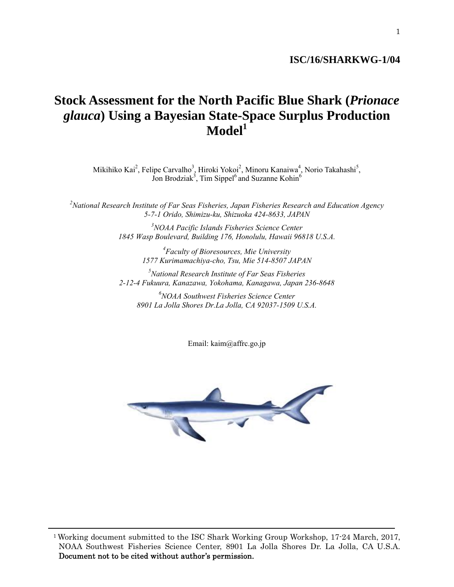## **ISC/16/SHARKWG-1/04**

## 1

# **Stock Assessment for the North Pacific Blue Shark (***Prionace glauca***) Using a Bayesian State-Space Surplus Production Model1**

Mikihiko Kai<sup>2</sup>, Felipe Carvalho<sup>3</sup>, Hiroki Yokoi<sup>2</sup>, Minoru Kanaiwa<sup>4</sup>, Norio Takahashi<sup>5</sup>, Jon Brodziak<sup>3</sup>, Tim Sippel<sup>6</sup> and Suzanne Kohin<sup>6</sup>

*2 National Research Institute of Far Seas Fisheries, Japan Fisheries Research and Education Agency 5-7-1 Orido, Shimizu-ku, Shizuoka 424-8633, JAPAN* 

> *3 NOAA Pacific Islands Fisheries Science Center 1845 Wasp Boulevard, Building 176, Honolulu, Hawaii 96818 U.S.A.*

> > *4 Faculty of Bioresources, Mie University 1577 Kurimamachiya-cho, Tsu, Mie 514-8507 JAPAN*

*5 National Research Institute of Far Seas Fisheries 2-12-4 Fukuura, Kanazawa, Yokohama, Kanagawa, Japan 236-8648* 

*6 NOAA Southwest Fisheries Science Center 8901 La Jolla Shores Dr.La Jolla, CA 92037-1509 U.S.A.* 

Email: kaim@affrc.go.jp



1 Working document submitted to the ISC Shark Working Group Workshop, 17-24 March, 2017, NOAA Southwest Fisheries Science Center, 8901 La Jolla Shores Dr. La Jolla, CA U.S.A. Document not to be cited without author's permission.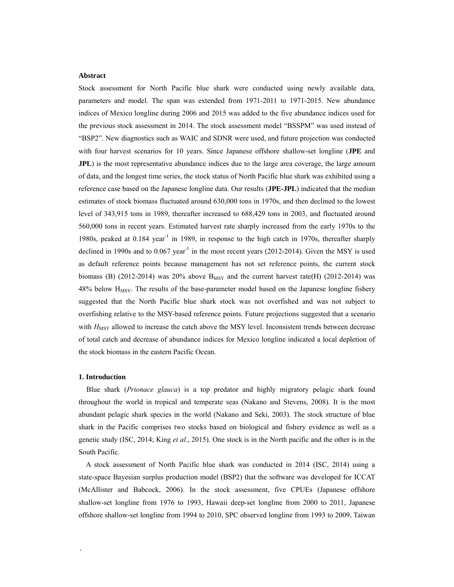#### **Abstract**

Stock assessment for North Pacific blue shark were conducted using newly available data, parameters and model. The span was extended from 1971-2011 to 1971-2015. New abundance indices of Mexico longline during 2006 and 2015 was added to the five abundance indices used for the previous stock assessment in 2014. The stock assessment model "BSSPM" was used instead of "BSP2". New diagnostics such as WAIC and SDNR were used, and future projection was conducted with four harvest scenarios for 10 years. Since Japanese offshore shallow-set longline (**JPE** and **JPL**) is the most representative abundance indices due to the large area coverage, the large amount of data, and the longest time series, the stock status of North Pacific blue shark was exhibited using a reference case based on the Japanese longline data. Our results (**JPE-JPL**) indicated that the median estimates of stock biomass fluctuated around 630,000 tons in 1970s, and then declined to the lowest level of 343,915 tons in 1989, thereafter increased to 688,429 tons in 2003, and fluctuated around 560,000 tons in recent years. Estimated harvest rate sharply increased from the early 1970s to the 1980s, peaked at 0.184 year<sup>-1</sup> in 1989, in response to the high catch in 1970s, thereafter sharply declined in 1990s and to  $0.067$  year<sup>-1</sup> in the most recent years (2012-2014). Given the MSY is used as default reference points because management has not set reference points, the current stock biomass (B) (2012-2014) was 20% above  $B_{MSY}$  and the current harvest rate(H) (2012-2014) was 48% below  $H<sub>MSY</sub>$ . The results of the base-parameter model based on the Japanese longline fishery suggested that the North Pacific blue shark stock was not overfished and was not subject to overfishing relative to the MSY-based reference points. Future projections suggested that a scenario with *H*<sub>MSY</sub> allowed to increase the catch above the MSY level. Inconsistent trends between decrease of total catch and decrease of abundance indices for Mexico longline indicated a local depletion of the stock biomass in the eastern Pacific Ocean.

#### **1. Introduction**

.

 Blue shark (*Prionace glauca*) is a top predator and highly migratory pelagic shark found throughout the world in tropical and temperate seas (Nakano and Stevens, 2008). It is the most abundant pelagic shark species in the world (Nakano and Seki, 2003). The stock structure of blue shark in the Pacific comprises two stocks based on biological and fishery evidence as well as a genetic study (ISC, 2014; King *et al*., 2015). One stock is in the North pacific and the other is in the South Pacific.

 A stock assessment of North Pacific blue shark was conducted in 2014 (ISC, 2014) using a state-space Bayesian surplus production model (BSP2) that the software was developed for ICCAT (McAllister and Babcock, 2006). In the stock assessment, five CPUEs (Japanese offshore shallow-set longline from 1976 to 1993, Hawaii deep-set longline from 2000 to 2011, Japanese offshore shallow-set longline from 1994 to 2010, SPC observed longline from 1993 to 2009, Taiwan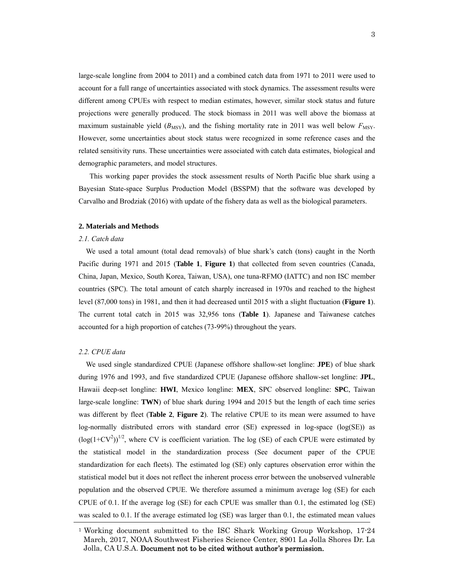large-scale longline from 2004 to 2011) and a combined catch data from 1971 to 2011 were used to account for a full range of uncertainties associated with stock dynamics. The assessment results were different among CPUEs with respect to median estimates, however, similar stock status and future projections were generally produced. The stock biomass in 2011 was well above the biomass at maximum sustainable yield  $(B_{\text{MSY}})$ , and the fishing mortality rate in 2011 was well below  $F_{\text{MSY}}$ . However, some uncertainties about stock status were recognized in some reference cases and the related sensitivity runs. These uncertainties were associated with catch data estimates, biological and demographic parameters, and model structures.

 This working paper provides the stock assessment results of North Pacific blue shark using a Bayesian State-space Surplus Production Model (BSSPM) that the software was developed by Carvalho and Brodziak (2016) with update of the fishery data as well as the biological parameters.

#### **2. Materials and Methods**

#### *2.1. Catch data*

We used a total amount (total dead removals) of blue shark's catch (tons) caught in the North Pacific during 1971 and 2015 (**Table 1**, **Figure 1**) that collected from seven countries (Canada, China, Japan, Mexico, South Korea, Taiwan, USA), one tuna-RFMO (IATTC) and non ISC member countries (SPC). The total amount of catch sharply increased in 1970s and reached to the highest level (87,000 tons) in 1981, and then it had decreased until 2015 with a slight fluctuation (**Figure 1**). The current total catch in 2015 was 32,956 tons (**Table 1**). Japanese and Taiwanese catches accounted for a high proportion of catches (73-99%) throughout the years.

## *2.2. CPUE data*

 We used single standardized CPUE (Japanese offshore shallow-set longline: **JPE**) of blue shark during 1976 and 1993, and five standardized CPUE (Japanese offshore shallow-set longline: **JPL**, Hawaii deep-set longline: **HWI**, Mexico longline: **MEX**, SPC observed longline: **SPC**, Taiwan large-scale longline: **TWN**) of blue shark during 1994 and 2015 but the length of each time series was different by fleet (**Table 2**, **Figure 2**). The relative CPUE to its mean were assumed to have log-normally distributed errors with standard error (SE) expressed in log-space (log(SE)) as  $(\log(1+CV^2))^{1/2}$ , where CV is coefficient variation. The log (SE) of each CPUE were estimated by the statistical model in the standardization process (See document paper of the CPUE standardization for each fleets). The estimated log (SE) only captures observation error within the statistical model but it does not reflect the inherent process error between the unobserved vulnerable population and the observed CPUE. We therefore assumed a minimum average log (SE) for each CPUE of 0.1. If the average log (SE) for each CPUE was smaller than 0.1, the estimated log (SE) was scaled to 0.1. If the average estimated log (SE) was larger than 0.1, the estimated mean values

<sup>1</sup> Working document submitted to the ISC Shark Working Group Workshop, 17-24 March, 2017, NOAA Southwest Fisheries Science Center, 8901 La Jolla Shores Dr. La Jolla, CA U.S.A. Document not to be cited without author's permission.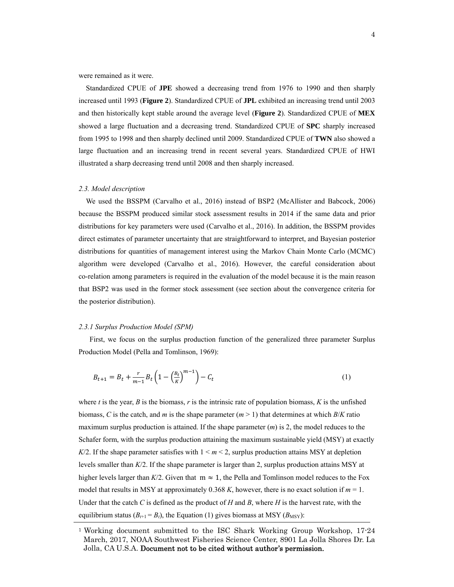were remained as it were.

 Standardized CPUE of **JPE** showed a decreasing trend from 1976 to 1990 and then sharply increased until 1993 (**Figure 2**). Standardized CPUE of **JPL** exhibited an increasing trend until 2003 and then historically kept stable around the average level (**Figure 2**). Standardized CPUE of **MEX** showed a large fluctuation and a decreasing trend. Standardized CPUE of **SPC** sharply increased from 1995 to 1998 and then sharply declined until 2009. Standardized CPUE of **TWN** also showed a large fluctuation and an increasing trend in recent several years. Standardized CPUE of HWI illustrated a sharp decreasing trend until 2008 and then sharply increased.

#### *2.3. Model description*

We used the BSSPM (Carvalho et al., 2016) instead of BSP2 (McAllister and Babcock, 2006) because the BSSPM produced similar stock assessment results in 2014 if the same data and prior distributions for key parameters were used (Carvalho et al., 2016). In addition, the BSSPM provides direct estimates of parameter uncertainty that are straightforward to interpret, and Bayesian posterior distributions for quantities of management interest using the Markov Chain Monte Carlo (MCMC) algorithm were developed (Carvalho et al., 2016). However, the careful consideration about co-relation among parameters is required in the evaluation of the model because it is the main reason that BSP2 was used in the former stock assessment (see section about the convergence criteria for the posterior distribution).

#### *2.3.1 Surplus Production Model (SPM)*

First, we focus on the surplus production function of the generalized three parameter Surplus Production Model (Pella and Tomlinson, 1969):

$$
B_{t+1} = B_t + \frac{r}{m-1} B_t \left( 1 - \left(\frac{B_t}{K}\right)^{m-1} \right) - C_t \tag{1}
$$

where *t* is the year, *B* is the biomass, *r* is the intrinsic rate of population biomass, *K* is the unfished biomass, *C* is the catch, and *m* is the shape parameter  $(m > 1)$  that determines at which *B*/*K* ratio maximum surplus production is attained. If the shape parameter (*m*) is 2, the model reduces to the Schafer form, with the surplus production attaining the maximum sustainable yield (MSY) at exactly  $K/2$ . If the shape parameter satisfies with  $1 \le m \le 2$ , surplus production attains MSY at depletion levels smaller than *K*/2. If the shape parameter is larger than 2, surplus production attains MSY at higher levels larger than  $K/2$ . Given that  $m \approx 1$ , the Pella and Tomlinson model reduces to the Fox model that results in MSY at approximately 0.368 K, however, there is no exact solution if  $m = 1$ . Under that the catch *C* is defined as the product of *H* and *B*, where *H* is the harvest rate, with the equilibrium status  $(B_{t+1} = B_t)$ , the Equation (1) gives biomass at MSY ( $B_{\text{MSY}}$ ):

<sup>1</sup> Working document submitted to the ISC Shark Working Group Workshop, 17-24 March, 2017, NOAA Southwest Fisheries Science Center, 8901 La Jolla Shores Dr. La Jolla, CA U.S.A. Document not to be cited without author's permission.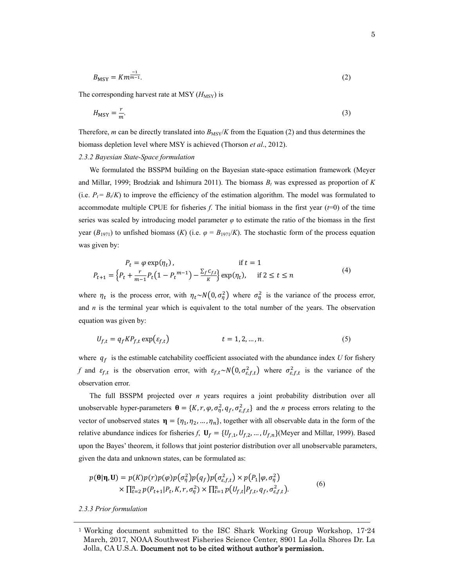$$
B_{\text{MSY}} = Km^{\frac{-1}{m-1}}.\tag{2}
$$

The corresponding harvest rate at MSY  $(H_{\text{MSY}})$  is

$$
H_{\text{MSY}} = \frac{r}{m}.\tag{3}
$$

Therefore, *m* can be directly translated into  $B_{\text{MSY}}/K$  from the Equation (2) and thus determines the biomass depletion level where MSY is achieved (Thorson *et al*., 2012).

## *2.3.2 Bayesian State-Space formulation*

We formulated the BSSPM building on the Bayesian state-space estimation framework (Meyer and Millar, 1999; Brodziak and Ishimura 2011). The biomass  $B_t$  was expressed as proportion of  $K$ (i.e.  $P_t = B_t/K$ ) to improve the efficiency of the estimation algorithm. The model was formulated to accommodate multiple CPUE for fisheries  $f$ . The initial biomass in the first year  $(f=0)$  of the time series was scaled by introducing model parameter  $\varphi$  to estimate the ratio of the biomass in the first year ( $B_{1971}$ ) to unfished biomass (*K*) (i.e.  $\varphi = B_{1971}/K$ ). The stochastic form of the process equation was given by:

$$
P_t = \varphi \exp(\eta_t), \qquad \text{if } t = 1
$$
  

$$
P_{t+1} = \left\{ P_t + \frac{r}{m-1} P_t \left( 1 - P_t^{m-1} \right) - \frac{\sum_f C_{f,t}}{K} \right\} \exp(\eta_t), \qquad \text{if } 2 \le t \le n
$$
 (4)

where  $\eta_t$  is the process error, with  $\eta_t \sim N(0, \sigma_\eta^2)$  where  $\sigma_\eta^2$  is the variance of the process error, and  $n$  is the terminal year which is equivalent to the total number of the years. The observation equation was given by:

$$
U_{f,t} = q_f K P_{f,t} \exp(\varepsilon_{f,t}) \qquad t = 1, 2, ..., n. \tag{5}
$$

where  $q_f$  is the estimable catchability coefficient associated with the abundance index *U* for fishery *f* and  $\varepsilon_{f,t}$  is the observation error, with  $\varepsilon_{f,t} \sim N(0, \sigma_{\varepsilon,f,t}^2)$  where  $\sigma_{\varepsilon,f,t}^2$  is the variance of the observation error.

 The full BSSPM projected over *n* years requires a joint probability distribution over all unobservable hyper-parameters  $\mathbf{\theta} = \{K, r, \varphi, \sigma_{\eta}^2, q_f, \sigma_{\varepsilon,f,t}^2\}$  and the *n* process errors relating to the vector of unobserved states  $\mathbf{\eta} = {\eta_1, \eta_2, ..., \eta_n}$ , together with all observable data in the form of the relative abundance indices for fisheries *f*,  $\mathbf{U}_f = \{U_{f,1}, U_{f,2}, \dots, U_{f,n}\}$ (Meyer and Millar, 1999). Based upon the Bayes' theorem, it follows that joint posterior distribution over all unobservable parameters, given the data and unknown states, can be formulated as:

$$
p(\mathbf{\theta}|\mathbf{\eta},\mathbf{U}) = p(K)p(r)p(\varphi)p(\sigma_n^2)p(q_f)p(\sigma_{\varepsilon,f,t}^2) \times p(P_1|\varphi,\sigma_n^2) \times \prod_{t=2}^n p(P_{t+1}|P_t,K,r,\sigma_n^2) \times \prod_{t=1}^n p(U_{f,t}|P_{f,t},q_f,\sigma_{\varepsilon,f,t}^2).
$$
\n(6)

*2.3.3 Prior formulation*

<sup>1</sup> Working document submitted to the ISC Shark Working Group Workshop, 17-24 March, 2017, NOAA Southwest Fisheries Science Center, 8901 La Jolla Shores Dr. La Jolla, CA U.S.A. Document not to be cited without author's permission.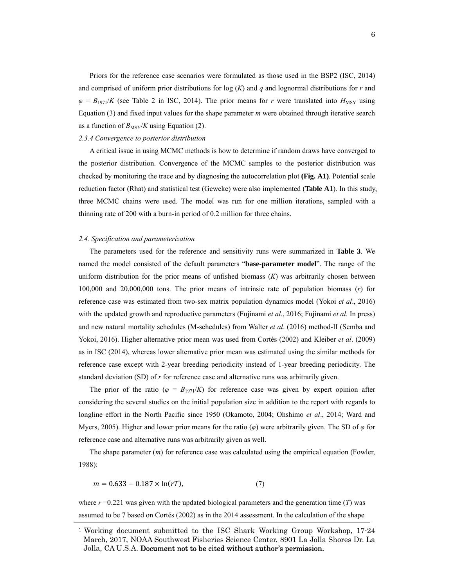Priors for the reference case scenarios were formulated as those used in the BSP2 (ISC, 2014) and comprised of uniform prior distributions for log  $(K)$  and  $q$  and lognormal distributions for  $r$  and  $\varphi = B_{1971}/K$  (see Table 2 in ISC, 2014). The prior means for *r* were translated into  $H_{\text{MSY}}$  using Equation (3) and fixed input values for the shape parameter *m* were obtained through iterative search as a function of  $B_{\text{MSY}}/K$  using Equation (2).

## *2.3.4 Convergence to posterior distribution*

 A critical issue in using MCMC methods is how to determine if random draws have converged to the posterior distribution. Convergence of the MCMC samples to the posterior distribution was checked by monitoring the trace and by diagnosing the autocorrelation plot **(Fig. A1)**. Potential scale reduction factor (Rhat) and statistical test (Geweke) were also implemented (**Table A1**). In this study, three MCMC chains were used. The model was run for one million iterations, sampled with a thinning rate of 200 with a burn-in period of 0.2 million for three chains.

#### *2.4. Specification and parameterization*

The parameters used for the reference and sensitivity runs were summarized in **Table 3**. We named the model consisted of the default parameters "**base-parameter model**". The range of the uniform distribution for the prior means of unfished biomass (*K*) was arbitrarily chosen between 100,000 and 20,000,000 tons. The prior means of intrinsic rate of population biomass (*r*) for reference case was estimated from two-sex matrix population dynamics model (Yokoi *et al*., 2016) with the updated growth and reproductive parameters (Fujinami *et al*., 2016; Fujinami *et al.* In press) and new natural mortality schedules (M-schedules) from Walter *et al*. (2016) method-II (Semba and Yokoi, 2016). Higher alternative prior mean was used from Cortés (2002) and Kleiber *et al*. (2009) as in ISC (2014), whereas lower alternative prior mean was estimated using the similar methods for reference case except with 2-year breeding periodicity instead of 1-year breeding periodicity. The standard deviation (SD) of *r* for reference case and alternative runs was arbitrarily given.

The prior of the ratio ( $\varphi = B_{1971}/K$ ) for reference case was given by expert opinion after considering the several studies on the initial population size in addition to the report with regards to longline effort in the North Pacific since 1950 (Okamoto, 2004; Ohshimo *et al*., 2014; Ward and Myers, 2005). Higher and lower prior means for the ratio (*φ*) were arbitrarily given. The SD of *φ* for reference case and alternative runs was arbitrarily given as well.

The shape parameter (*m*) for reference case was calculated using the empirical equation (Fowler, 1988):

$$
m = 0.633 - 0.187 \times \ln(rT),\tag{7}
$$

where  $r = 0.221$  was given with the updated biological parameters and the generation time (*T*) was assumed to be 7 based on Cortés (2002) as in the 2014 assessment. In the calculation of the shape

<sup>1</sup> Working document submitted to the ISC Shark Working Group Workshop, 17-24 March, 2017, NOAA Southwest Fisheries Science Center, 8901 La Jolla Shores Dr. La Jolla, CA U.S.A. Document not to be cited without author's permission.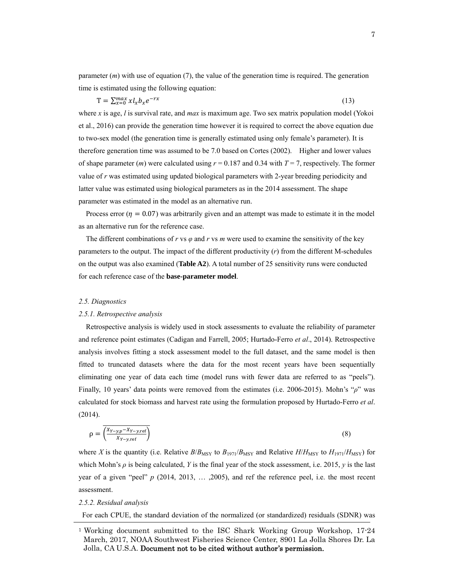parameter (*m*) with use of equation (7), the value of the generation time is required. The generation time is estimated using the following equation:

$$
T = \sum_{x=0}^{max} x l_x b_x e^{-rx}
$$
 (13)

where *x* is age, *l* is survival rate, and *max* is maximum age. Two sex matrix population model (Yokoi et al., 2016) can provide the generation time however it is required to correct the above equation due to two-sex model (the generation time is generally estimated using only female's parameter). It is therefore generation time was assumed to be 7.0 based on Cortes (2002). Higher and lower values of shape parameter  $(m)$  were calculated using  $r = 0.187$  and 0.34 with  $T = 7$ , respectively. The former value of *r* was estimated using updated biological parameters with 2-year breeding periodicity and latter value was estimated using biological parameters as in the 2014 assessment. The shape parameter was estimated in the model as an alternative run.

Process error ( $\eta = 0.07$ ) was arbitrarily given and an attempt was made to estimate it in the model as an alternative run for the reference case.

The different combinations of  $r$  vs  $\varphi$  and  $r$  vs  $m$  were used to examine the sensitivity of the key parameters to the output. The impact of the different productivity (*r*) from the different M-schedules on the output was also examined (**Table A2**). A total number of 25 sensitivity runs were conducted for each reference case of the **base-parameter model**.

#### *2.5. Diagnostics*

#### *2.5.1. Retrospective analysis*

 Retrospective analysis is widely used in stock assessments to evaluate the reliability of parameter and reference point estimates (Cadigan and Farrell, 2005; Hurtado-Ferro *et al*., 2014). Retrospective analysis involves fitting a stock assessment model to the full dataset, and the same model is then fitted to truncated datasets where the data for the most recent years have been sequentially eliminating one year of data each time (model runs with fewer data are referred to as "peels"). Finally, 10 years' data points were removed from the estimates (i.e. 2006-2015). Mohn's "*ρ*" was calculated for stock biomass and harvest rate using the formulation proposed by Hurtado-Ferro *et al*. (2014).

$$
\rho = \overline{\left(\frac{X_{Y-y,p} - X_{Y-y,\text{ref}}}{X_{Y-y,\text{ref}}}\right)}
$$
\n(8)

where *X* is the quantity (i.e. Relative  $B/B_{\text{MSY}}$  to  $B_{1971}/B_{\text{MSY}}$  and Relative  $H/H_{\text{MSY}}$  to  $H_{1971}/H_{\text{MSY}}$ ) for which Mohn's  $\rho$  is being calculated, *Y* is the final year of the stock assessment, i.e. 2015, *y* is the last year of a given "peel" *p* (2014, 2013, … ,2005), and ref the reference peel, i.e. the most recent assessment.

#### *2.5.2. Residual analysis*

For each CPUE, the standard deviation of the normalized (or standardized) residuals (SDNR) was

<sup>1</sup> Working document submitted to the ISC Shark Working Group Workshop, 17-24 March, 2017, NOAA Southwest Fisheries Science Center, 8901 La Jolla Shores Dr. La Jolla, CA U.S.A. Document not to be cited without author's permission.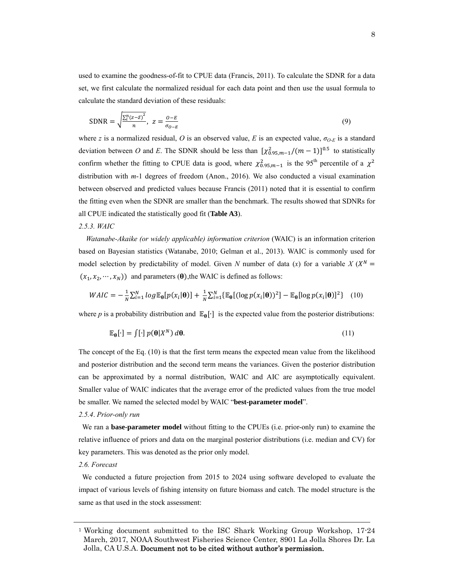used to examine the goodness-of-fit to CPUE data (Francis, 2011). To calculate the SDNR for a data set, we first calculate the normalized residual for each data point and then use the usual formula to calculate the standard deviation of these residuals:

$$
SDNR = \sqrt{\frac{\sum_{i}^{n}(z-\bar{z})^{2}}{n}}, \ z = \frac{o-\bar{E}}{\sigma_{o-\bar{E}}}
$$
\n(9)

where *z* is a normalized residual, *O* is an observed value, *E* is an expected value,  $\sigma_{O-E}$  is a standard deviation between *O* and *E*. The SDNR should be less than  $[\chi^2_{0.95,m-1}/(m-1)]^{0.5}$  to statistically confirm whether the fitting to CPUE data is good, where  $\chi^2_{0.95,m-1}$  is the 95<sup>th</sup> percentile of a  $\chi^2$ distribution with *m*-1 degrees of freedom (Anon., 2016). We also conducted a visual examination between observed and predicted values because Francis (2011) noted that it is essential to confirm the fitting even when the SDNR are smaller than the benchmark. The results showed that SDNRs for all CPUE indicated the statistically good fit (**Table A3**).

## *2.5.3. WAIC*

*Watanabe-Akaike (or widely applicable) information criterion* (WAIC) is an information criterion based on Bayesian statistics (Watanabe, 2010; Gelman et al., 2013). WAIC is commonly used for model selection by predictability of model. Given *N* number of data (*x*) for a variable  $X(X^N =$  $(x_1, x_2, \dots, x_N)$  and parameters ( $\theta$ ), the WAIC is defined as follows:

$$
W A I C = -\frac{1}{N} \sum_{i=1}^{N} \log \mathbb{E}_{\theta} [p(x_i | \theta)] + \frac{1}{N} \sum_{i=1}^{N} \{ \mathbb{E}_{\theta} [(\log p(x_i | \theta))^2] - \mathbb{E}_{\theta} [\log p(x_i | \theta)]^2 \} \quad (10)
$$

where *p* is a probability distribution and  $\mathbb{E}_{\theta}[\cdot]$  is the expected value from the posterior distributions:

$$
\mathbb{E}_{\theta}[\cdot] = \int [\cdot] p(\theta|X^N) d\theta. \tag{11}
$$

The concept of the Eq. (10) is that the first term means the expected mean value from the likelihood and posterior distribution and the second term means the variances. Given the posterior distribution can be approximated by a normal distribution, WAIC and AIC are asymptotically equivalent. Smaller value of WAIC indicates that the average error of the predicted values from the true model be smaller. We named the selected model by WAIC "**best-parameter model**".

## *2.5.4*. *Prior-only run*

We ran a **base-parameter model** without fitting to the CPUEs (i.e. prior-only run) to examine the relative influence of priors and data on the marginal posterior distributions (i.e. median and CV) for key parameters. This was denoted as the prior only model.

## *2.6. Forecast*

We conducted a future projection from 2015 to 2024 using software developed to evaluate the impact of various levels of fishing intensity on future biomass and catch. The model structure is the same as that used in the stock assessment:

<sup>1</sup> Working document submitted to the ISC Shark Working Group Workshop, 17-24 March, 2017, NOAA Southwest Fisheries Science Center, 8901 La Jolla Shores Dr. La Jolla, CA U.S.A. Document not to be cited without author's permission.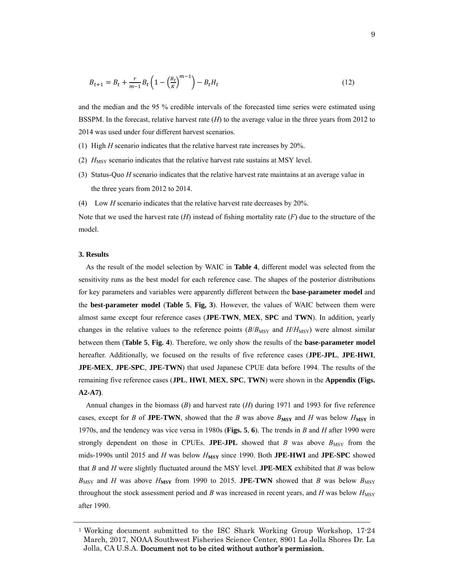$$
B_{t+1} = B_t + \frac{r}{m-1} B_t \left( 1 - \left(\frac{B_t}{K}\right)^{m-1} \right) - B_t H_t \tag{12}
$$

and the median and the 95 % credible intervals of the forecasted time series were estimated using BSSPM. In the forecast, relative harvest rate (*H*) to the average value in the three years from 2012 to 2014 was used under four different harvest scenarios.

- (1) High *H* scenario indicates that the relative harvest rate increases by 20%.
- (2)  $H_{\text{MSY}}$  scenario indicates that the relative harvest rate sustains at MSY level.
- (3) Status-Quo *H* scenario indicates that the relative harvest rate maintains at an average value in the three years from 2012 to 2014.
- (4) Low *H* scenario indicates that the relative harvest rate decreases by 20%.

Note that we used the harvest rate (*H*) instead of fishing mortality rate (*F*) due to the structure of the model.

#### **3. Results**

As the result of the model selection by WAIC in **Table 4**, different model was selected from the sensitivity runs as the best model for each reference case. The shapes of the posterior distributions for key parameters and variables were apparently different between the **base-parameter model** and the **best-parameter model** (**Table 5**, **Fig, 3**). However, the values of WAIC between them were almost same except four reference cases (**JPE**-**TWN**, **MEX**, **SPC** and **TWN**). In addition, yearly changes in the relative values to the reference points  $(B/B_{\text{MSY}})$  and  $H/H_{\text{MSY}}$ ) were almost similar between them (**Table 5**, **Fig. 4**). Therefore, we only show the results of the **base-parameter model** hereafter. Additionally, we focused on the results of five reference cases (**JPE-JPL**, **JPE-HWI**, **JPE-MEX**, **JPE-SPC**, **JPE-TWN**) that used Japanese CPUE data before 1994. The results of the remaining five reference cases (**JPL**, **HWI**, **MEX**, **SPC**, **TWN**) were shown in the **Appendix (Figs. A2-A7)**.

Annual changes in the biomass (*B*) and harvest rate (*H*) during 1971 and 1993 for five reference cases, except for *B* of **JPE-TWN**, showed that the *B* was above  $B_{\text{MSY}}$  and *H* was below  $H_{\text{MSY}}$  in 1970s, and the tendency was vice versa in 1980s (**Figs. 5**, **6**). The trends in *B* and *H* after 1990 were strongly dependent on those in CPUEs. JPE-JPL showed that *B* was above  $B_{\text{MSY}}$  from the mids-1990s until 2015 and *H* was below *H***MSY** since 1990. Both **JPE-HWI** and **JPE-SPC** showed that *B* and *H* were slightly fluctuated around the MSY level. **JPE-MEX** exhibited that *B* was below  $B_{\text{MSY}}$  and *H* was above  $H_{\text{MSY}}$  from 1990 to 2015. **JPE-TWN** showed that *B* was below  $B_{\text{MSY}}$ throughout the stock assessment period and *B* was increased in recent years, and *H* was below  $H_{\text{MSY}}$ after 1990.

<sup>1</sup> Working document submitted to the ISC Shark Working Group Workshop, 17-24 March, 2017, NOAA Southwest Fisheries Science Center, 8901 La Jolla Shores Dr. La Jolla, CA U.S.A. Document not to be cited without author's permission.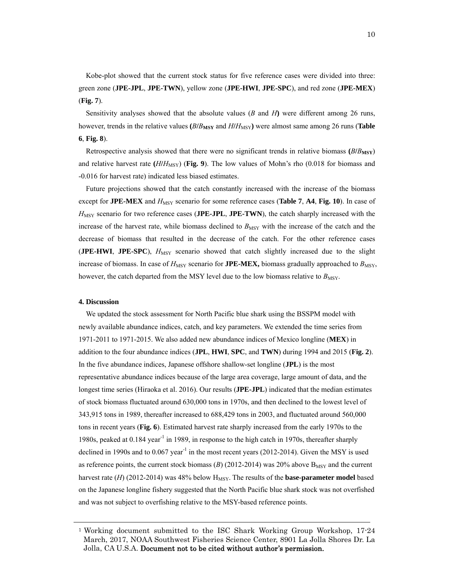Kobe-plot showed that the current stock status for five reference cases were divided into three: green zone (**JPE-JPL**, **JPE-TWN**), yellow zone (**JPE-HWI**, **JPE-SPC**), and red zone (**JPE-MEX**) (**Fig. 7**).

Sensitivity analyses showed that the absolute values (*B* and *H***)** were different among 26 runs, however, trends in the relative values (*BlB*<sub>MSY</sub> and *HIH*<sub>MSY</sub>) were almost same among 26 runs (**Table 6**, **Fig. 8**).

Retrospective analysis showed that there were no significant trends in relative biomass **(***B***/***B***MSY**) and relative harvest rate ( $H/H_{\text{MSY}}$ ) (Fig. 9). The low values of Mohn's rho (0.018 for biomass and -0.016 for harvest rate) indicated less biased estimates.

Future projections showed that the catch constantly increased with the increase of the biomass except for **JPE-MEX** and  $H_{\text{MSY}}$  scenario for some reference cases (**Table 7**, **A4**, **Fig. 10**). In case of *H*<sub>MSY</sub> scenario for two reference cases (**JPE-JPL**, **JPE-TWN**), the catch sharply increased with the increase of the harvest rate, while biomass declined to  $B_{\text{MSY}}$  with the increase of the catch and the decrease of biomass that resulted in the decrease of the catch. For the other reference cases (**JPE-HWI**, **JPE-SPC**),  $H_{\text{MSY}}$  scenario showed that catch slightly increased due to the slight increase of biomass. In case of  $H_{\text{MSY}}$  scenario for **JPE-MEX**, biomass gradually approached to  $B_{\text{MSY}}$ , however, the catch departed from the MSY level due to the low biomass relative to  $B_{\text{MSY}}$ .

## **4. Discussion**

 We updated the stock assessment for North Pacific blue shark using the BSSPM model with newly available abundance indices, catch, and key parameters. We extended the time series from 1971-2011 to 1971-2015. We also added new abundance indices of Mexico longline (**MEX**) in addition to the four abundance indices (**JPL**, **HWI**, **SPC**, and **TWN**) during 1994 and 2015 (**Fig. 2**). In the five abundance indices, Japanese offshore shallow-set longline (**JPL**) is the most representative abundance indices because of the large area coverage, large amount of data, and the longest time series (Hiraoka et al. 2016). Our results (**JPE-JPL**) indicated that the median estimates of stock biomass fluctuated around 630,000 tons in 1970s, and then declined to the lowest level of 343,915 tons in 1989, thereafter increased to 688,429 tons in 2003, and fluctuated around 560,000 tons in recent years (**Fig. 6**). Estimated harvest rate sharply increased from the early 1970s to the 1980s, peaked at 0.184 year<sup>-1</sup> in 1989, in response to the high catch in 1970s, thereafter sharply declined in 1990s and to  $0.067$  year<sup>-1</sup> in the most recent years (2012-2014). Given the MSY is used as reference points, the current stock biomass  $(B)$  (2012-2014) was 20% above  $B_{MSY}$  and the current harvest rate  $(H)$  (2012-2014) was 48% below  $H_{MSY}$ . The results of the **base-parameter model** based on the Japanese longline fishery suggested that the North Pacific blue shark stock was not overfished and was not subject to overfishing relative to the MSY-based reference points.

<sup>1</sup> Working document submitted to the ISC Shark Working Group Workshop, 17-24 March, 2017, NOAA Southwest Fisheries Science Center, 8901 La Jolla Shores Dr. La Jolla, CA U.S.A. Document not to be cited without author's permission.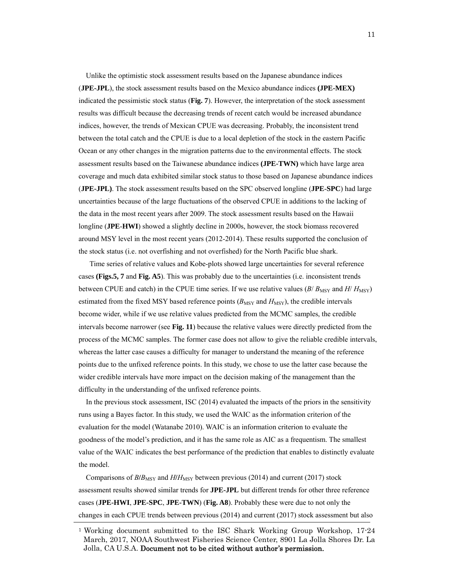Unlike the optimistic stock assessment results based on the Japanese abundance indices (**JPE-JPL**), the stock assessment results based on the Mexico abundance indices **(JPE-MEX)** indicated the pessimistic stock status (**Fig. 7**). However, the interpretation of the stock assessment results was difficult because the decreasing trends of recent catch would be increased abundance indices, however, the trends of Mexican CPUE was decreasing. Probably, the inconsistent trend between the total catch and the CPUE is due to a local depletion of the stock in the eastern Pacific Ocean or any other changes in the migration patterns due to the environmental effects. The stock assessment results based on the Taiwanese abundance indices **(JPE-TWN)** which have large area coverage and much data exhibited similar stock status to those based on Japanese abundance indices (**JPE-JPL)**. The stock assessment results based on the SPC observed longline (**JPE**-**SPC**) had large uncertainties because of the large fluctuations of the observed CPUE in additions to the lacking of the data in the most recent years after 2009. The stock assessment results based on the Hawaii longline (**JPE**-**HWI**) showed a slightly decline in 2000s, however, the stock biomass recovered around MSY level in the most recent years (2012-2014). These results supported the conclusion of the stock status (i.e. not overfishing and not overfished) for the North Pacific blue shark.

 Time series of relative values and Kobe-plots showed large uncertainties for several reference cases **(Figs.5, 7** and **Fig. A5**). This was probably due to the uncertainties (i.e. inconsistent trends between CPUE and catch) in the CPUE time series. If we use relative values  $(B/B<sub>MSY</sub>$  and  $H/H<sub>MSY</sub>$ estimated from the fixed MSY based reference points ( $B_{\text{MSY}}$  and  $H_{\text{MSY}}$ ), the credible intervals become wider, while if we use relative values predicted from the MCMC samples, the credible intervals become narrower (see **Fig. 11**) because the relative values were directly predicted from the process of the MCMC samples. The former case does not allow to give the reliable credible intervals, whereas the latter case causes a difficulty for manager to understand the meaning of the reference points due to the unfixed reference points. In this study, we chose to use the latter case because the wider credible intervals have more impact on the decision making of the management than the difficulty in the understanding of the unfixed reference points.

 In the previous stock assessment, ISC (2014) evaluated the impacts of the priors in the sensitivity runs using a Bayes factor. In this study, we used the WAIC as the information criterion of the evaluation for the model (Watanabe 2010). WAIC is an information criterion to evaluate the goodness of the model's prediction, and it has the same role as AIC as a frequentism. The smallest value of the WAIC indicates the best performance of the prediction that enables to distinctly evaluate the model.

Comparisons of  $B/B_{\text{MSY}}$  and  $H/H_{\text{MSY}}$  between previous (2014) and current (2017) stock assessment results showed similar trends for **JPE-JPL** but different trends for other three reference cases (**JPE-HWI**, **JPE-SPC**, **JPE-TWN**) (**Fig. A8**). Probably these were due to not only the changes in each CPUE trends between previous (2014) and current (2017) stock assessment but also

<sup>&</sup>lt;sup>1</sup> Working document submitted to the ISC Shark Working Group Workshop,  $17-24$ March, 2017, NOAA Southwest Fisheries Science Center, 8901 La Jolla Shores Dr. La Jolla, CA U.S.A. Document not to be cited without author's permission.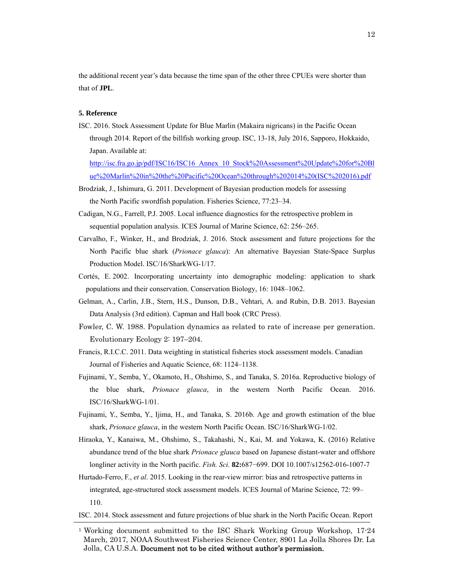the additional recent year's data because the time span of the other three CPUEs were shorter than that of **JPL**.

## **5. Reference**

ISC. 2016. Stock Assessment Update for Blue Marlin (Makaira nigricans) in the Pacific Ocean through 2014. Report of the billfish working group. ISC, 13-18, July 2016, Sapporo, Hokkaido, Japan. Available at:

http://isc.fra.go.jp/pdf/ISC16/ISC16\_Annex\_10\_Stock%20Assessment%20Update%20for%20Bl ue%20Marlin%20in%20the%20Pacific%20Ocean%20through%202014%20(ISC%202016).pdf

- Brodziak, J., Ishimura, G. 2011. Development of Bayesian production models for assessing the North Pacific swordfish population. Fisheries Science, 77:23–34.
- Cadigan, N.G., Farrell, P.J. 2005. Local influence diagnostics for the retrospective problem in sequential population analysis. ICES Journal of Marine Science, 62: 256–265.
- Carvalho, F., Winker, H., and Brodziak, J. 2016. Stock assessment and future projections for the North Pacific blue shark (*Prionace glauca*): An alternative Bayesian State-Space Surplus Production Model. ISC/16/SharkWG-1/17.
- Cortés, E. 2002. Incorporating uncertainty into demographic modeling: application to shark populations and their conservation. Conservation Biology, 16: 1048–1062.
- Gelman, A., Carlin, J.B., Stern, H.S., Dunson, D.B., Vehtari, A. and Rubin, D.B. 2013. Bayesian Data Analysis (3rd edition). Capman and Hall book (CRC Press).
- Fowler, C. W. 1988. Population dynamics as related to rate of increase per generation. Evolutionary Ecology 2: 197–204.
- Francis, R.I.C.C. 2011. Data weighting in statistical fisheries stock assessment models. Canadian Journal of Fisheries and Aquatic Science, 68: 1124–1138.
- Fujinami, Y., Semba, Y., Okamoto, H., Ohshimo, S., and Tanaka, S. 2016a. Reproductive biology of the blue shark, *Prionace glauca*, in the western North Pacific Ocean. 2016. ISC/16/SharkWG-1/01.
- Fujinami, Y., Semba, Y., Ijima, H., and Tanaka, S. 2016b. Age and growth estimation of the blue shark, *Prionace glauca*, in the western North Pacific Ocean. ISC/16/SharkWG-1/02.
- Hiraoka, Y., Kanaiwa, M., Ohshimo, S., Takahashi, N., Kai, M. and Yokawa, K. (2016) Relative abundance trend of the blue shark *Prionace glauca* based on Japanese distant-water and offshore longliner activity in the North pacific. *Fish. Sci.* **82:**687−699. DOI 10.1007/s12562-016-1007-7
- Hurtado-Ferro, F., *et al*. 2015. Looking in the rear-view mirror: bias and retrospective patterns in integrated, age-structured stock assessment models. ICES Journal of Marine Science, 72: 99– 110.
- ISC. 2014. Stock assessment and future projections of blue shark in the North Pacific Ocean. Report

<sup>1</sup> Working document submitted to the ISC Shark Working Group Workshop, 17-24 March, 2017, NOAA Southwest Fisheries Science Center, 8901 La Jolla Shores Dr. La Jolla, CA U.S.A. Document not to be cited without author's permission.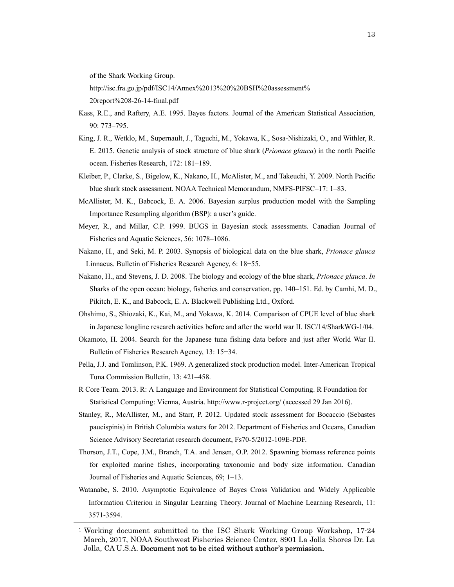of the Shark Working Group.

http://isc.fra.go.jp/pdf/ISC14/Annex%2013%20%20BSH%20assessment% 20report%208-26-14-final.pdf

- Kass, R.E., and Raftery, A.E. 1995. Bayes factors. Journal of the American Statistical Association, 90: 773–795.
- King, J. R., Wetklo, M., Supernault, J., Taguchi, M., Yokawa, K., Sosa-Nishizaki, O., and Withler, R. E. 2015. Genetic analysis of stock structure of blue shark (*Prionace glauca*) in the north Pacific ocean. Fisheries Research, 172: 181–189.
- Kleiber, P., Clarke, S., Bigelow, K., Nakano, H., McAlister, M., and Takeuchi, Y. 2009. North Pacific blue shark stock assessment. NOAA Technical Memorandum, NMFS-PIFSC–17: 1–83.
- McAllister, M. K., Babcock, E. A. 2006. Bayesian surplus production model with the Sampling Importance Resampling algorithm (BSP): a user's guide.
- Meyer, R., and Millar, C.P. 1999. BUGS in Bayesian stock assessments. Canadian Journal of Fisheries and Aquatic Sciences, 56: 1078–1086.
- Nakano, H., and Seki, M. P. 2003. Synopsis of biological data on the blue shark, *Prionace glauca* Linnaeus. Bulletin of Fisheries Research Agency, 6: 18−55.
- Nakano, H., and Stevens, J. D. 2008. The biology and ecology of the blue shark, *Prionace glauca*. *In* Sharks of the open ocean: biology, fisheries and conservation, pp. 140–151. Ed. by Camhi, M. D., Pikitch, E. K., and Babcock, E. A. Blackwell Publishing Ltd., Oxford.
- Ohshimo, S., Shiozaki, K., Kai, M., and Yokawa, K. 2014. Comparison of CPUE level of blue shark in Japanese longline research activities before and after the world war II. ISC/14/SharkWG-1/04.
- Okamoto, H. 2004. Search for the Japanese tuna fishing data before and just after World War II. Bulletin of Fisheries Research Agency, 13: 15−34.
- Pella, J.J. and Tomlinson, P.K. 1969. A generalized stock production model. Inter-American Tropical Tuna Commission Bulletin, 13: 421–458.
- R Core Team. 2013. R: A Language and Environment for Statistical Computing. R Foundation for Statistical Computing: Vienna, Austria. http://www.r-project.org/ (accessed 29 Jan 2016).
- Stanley, R., McAllister, M., and Starr, P. 2012. Updated stock assessment for Bocaccio (Sebastes paucispinis) in British Columbia waters for 2012. Department of Fisheries and Oceans, Canadian Science Advisory Secretariat research document, Fs70-5/2012-109E-PDF.
- Thorson, J.T., Cope, J.M., Branch, T.A. and Jensen, O.P. 2012. Spawning biomass reference points for exploited marine fishes, incorporating taxonomic and body size information. Canadian Journal of Fisheries and Aquatic Sciences, 69; 1–13.
- Watanabe, S. 2010. Asymptotic Equivalence of Bayes Cross Validation and Widely Applicable Information Criterion in Singular Learning Theory. Journal of Machine Learning Research, 11: 3571-3594.

<sup>1</sup> Working document submitted to the ISC Shark Working Group Workshop, 17-24 March, 2017, NOAA Southwest Fisheries Science Center, 8901 La Jolla Shores Dr. La Jolla, CA U.S.A. Document not to be cited without author's permission.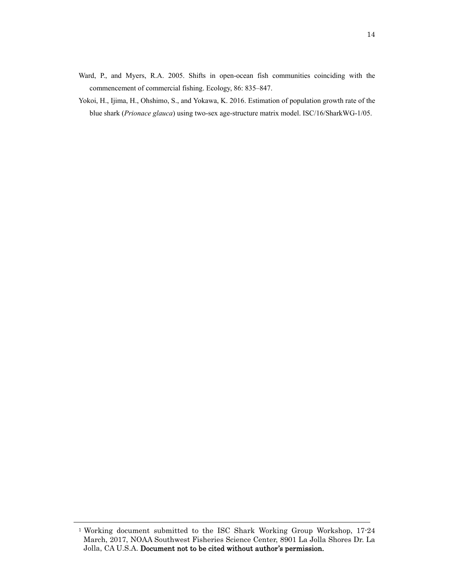- Ward, P., and Myers, R.A. 2005. Shifts in open-ocean fish communities coinciding with the commencement of commercial fishing. Ecology, 86: 835–847.
- Yokoi, H., Ijima, H., Ohshimo, S., and Yokawa, K. 2016. Estimation of population growth rate of the blue shark (*Prionace glauca*) using two-sex age-structure matrix model. ISC/16/SharkWG-1/05.

<sup>1</sup> Working document submitted to the ISC Shark Working Group Workshop, 17-24 March, 2017, NOAA Southwest Fisheries Science Center, 8901 La Jolla Shores Dr. La Jolla, CA U.S.A. Document not to be cited without author's permission.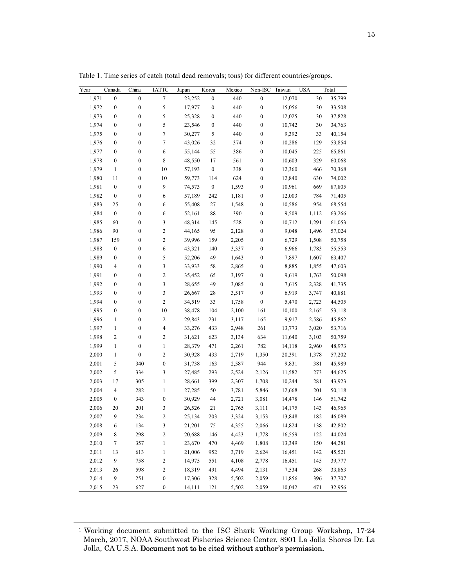| Year  | Canada           | China            | <b>IATTC</b>             | Japan  | Korea            | Mexico | Non-ISC          | Taiwan | <b>USA</b> | Total  |
|-------|------------------|------------------|--------------------------|--------|------------------|--------|------------------|--------|------------|--------|
| 1,971 | $\boldsymbol{0}$ | $\boldsymbol{0}$ | $\boldsymbol{7}$         | 23,252 | $\boldsymbol{0}$ | 440    | $\boldsymbol{0}$ | 12,070 | 30         | 35,799 |
| 1,972 | $\boldsymbol{0}$ | $\boldsymbol{0}$ | $\sqrt{5}$               | 17,977 | $\boldsymbol{0}$ | 440    | $\boldsymbol{0}$ | 15,056 | 30         | 33,508 |
| 1,973 | $\boldsymbol{0}$ | $\boldsymbol{0}$ | $\sqrt{5}$               | 25,328 | 0                | 440    | $\boldsymbol{0}$ | 12,025 | 30         | 37,828 |
| 1,974 | $\boldsymbol{0}$ | $\boldsymbol{0}$ | $\sqrt{5}$               | 23,546 | $\boldsymbol{0}$ | 440    | $\boldsymbol{0}$ | 10,742 | 30         | 34,763 |
| 1,975 | $\boldsymbol{0}$ | $\boldsymbol{0}$ | $\boldsymbol{7}$         | 30,277 | 5                | 440    | $\boldsymbol{0}$ | 9,392  | 33         | 40,154 |
| 1,976 | $\boldsymbol{0}$ | $\boldsymbol{0}$ | $\boldsymbol{7}$         | 43,026 | 32               | 374    | $\boldsymbol{0}$ | 10,286 | 129        | 53,854 |
| 1,977 | $\boldsymbol{0}$ | $\boldsymbol{0}$ | 6                        | 55,144 | 55               | 386    | $\boldsymbol{0}$ | 10,045 | 225        | 65,861 |
| 1,978 | $\boldsymbol{0}$ | $\boldsymbol{0}$ | 8                        | 48,550 | 17               | 561    | $\boldsymbol{0}$ | 10,603 | 329        | 60,068 |
| 1,979 | $\mathbf{1}$     | $\boldsymbol{0}$ | 10                       | 57,193 | $\boldsymbol{0}$ | 338    | $\boldsymbol{0}$ | 12,360 | 466        | 70,368 |
| 1,980 | 11               | $\boldsymbol{0}$ | 10                       | 59,773 | 114              | 624    | $\boldsymbol{0}$ | 12,840 | 630        | 74,002 |
| 1,981 | $\boldsymbol{0}$ | $\boldsymbol{0}$ | 9                        | 74,573 | $\boldsymbol{0}$ | 1,593  | $\boldsymbol{0}$ | 10,961 | 669        | 87,805 |
| 1,982 | $\boldsymbol{0}$ | $\boldsymbol{0}$ | 6                        | 57,189 | 242              | 1,181  | $\boldsymbol{0}$ | 12,003 | 784        | 71,405 |
| 1,983 | 25               | $\boldsymbol{0}$ | 6                        | 55,408 | 27               | 1,548  | $\boldsymbol{0}$ | 10,586 | 954        | 68,554 |
| 1,984 | $\boldsymbol{0}$ | $\boldsymbol{0}$ | 6                        | 52,161 | 88               | 390    | $\boldsymbol{0}$ | 9,509  | 1,112      | 63,266 |
| 1,985 | 60               | $\boldsymbol{0}$ | $\mathfrak{Z}$           | 48,314 | 145              | 528    | $\boldsymbol{0}$ | 10,712 | 1,291      | 61,053 |
| 1,986 | 90               | $\boldsymbol{0}$ | $\sqrt{2}$               | 44,165 | 95               | 2,128  | $\boldsymbol{0}$ | 9,048  | 1,496      | 57,024 |
| 1,987 | 159              | $\boldsymbol{0}$ | $\sqrt{2}$               | 39,996 | 159              | 2,205  | $\boldsymbol{0}$ | 6,729  | 1,508      | 50,758 |
| 1,988 | $\boldsymbol{0}$ | $\boldsymbol{0}$ | 6                        | 43,321 | 140              | 3,337  | $\boldsymbol{0}$ | 6,966  | 1,783      | 55,553 |
| 1,989 | $\boldsymbol{0}$ | $\boldsymbol{0}$ | $\sqrt{5}$               | 52,206 | 49               | 1,643  | $\boldsymbol{0}$ | 7,897  | 1,607      | 63,407 |
| 1,990 | $\overline{4}$   | $\boldsymbol{0}$ | $\mathfrak{Z}$           | 33,933 | 58               | 2,865  | $\boldsymbol{0}$ | 8,885  | 1,855      | 47,603 |
| 1,991 | $\boldsymbol{0}$ | $\boldsymbol{0}$ | $\sqrt{2}$               | 35,452 | 65               | 3,197  | $\boldsymbol{0}$ | 9,619  | 1,763      | 50,098 |
| 1,992 | $\boldsymbol{0}$ | $\boldsymbol{0}$ | $\mathfrak{Z}$           | 28,655 | 49               | 3,085  | $\boldsymbol{0}$ | 7,615  | 2,328      | 41,735 |
| 1,993 | $\boldsymbol{0}$ | $\boldsymbol{0}$ | $\mathfrak{Z}$           | 26,667 | 28               | 3,517  | $\boldsymbol{0}$ | 6,919  | 3,747      | 40,881 |
| 1,994 | $\boldsymbol{0}$ | $\boldsymbol{0}$ | $\overline{c}$           | 34,519 | 33               | 1,758  | $\boldsymbol{0}$ | 5,470  | 2,723      | 44,505 |
| 1,995 | $\boldsymbol{0}$ | $\boldsymbol{0}$ | 10                       | 38,478 | 104              | 2,100  | 161              | 10,100 | 2,165      | 53,118 |
| 1,996 | $\mathbf{1}$     | $\boldsymbol{0}$ | $\sqrt{2}$               | 29,843 | 231              | 3,117  | 165              | 9,917  | 2,586      | 45,862 |
| 1,997 | $\mathbf{1}$     | $\boldsymbol{0}$ | $\overline{\mathcal{A}}$ | 33,276 | 433              | 2,948  | 261              | 13,773 | 3,020      | 53,716 |
| 1,998 | 2                | $\boldsymbol{0}$ | $\sqrt{2}$               | 31,621 | 623              | 3,134  | 634              | 11,640 | 3,103      | 50,759 |
| 1,999 | $\mathbf{1}$     | $\boldsymbol{0}$ | $\mathbf{1}$             | 28,379 | 471              | 2,261  | 782              | 14,118 | 2,960      | 48,973 |
| 2,000 | $\mathbf{1}$     | $\boldsymbol{0}$ | $\sqrt{2}$               | 30,928 | 433              | 2,719  | 1,350            | 20,391 | 1,378      | 57,202 |
| 2,001 | 5                | 340              | $\boldsymbol{0}$         | 31,738 | 163              | 2,587  | 944              | 9,831  | 381        | 45,989 |
| 2,002 | 5                | 334              | $\mathfrak{Z}$           | 27,485 | 293              | 2,524  | 2,126            | 11,582 | 273        | 44,625 |
| 2,003 | 17               | 305              | $\mathbf{1}$             | 28,661 | 399              | 2,307  | 1,708            | 10,244 | 281        | 43,923 |
| 2,004 | 4                | 282              | $\mathbf{1}$             | 27,285 | 50               | 3,781  | 5,846            | 12,668 | 201        | 50,118 |
| 2,005 | $\boldsymbol{0}$ | 343              | $\boldsymbol{0}$         | 30,929 | 44               | 2,721  | 3,081            | 14,478 | 146        | 51,742 |
| 2,006 | 20               | 201              | $\mathfrak{Z}$           | 26,526 | 21               | 2,765  | 3,111            | 14,175 | 143        | 46,965 |
| 2,007 | 9                | 234              | 2                        | 25,134 | 203              | 3,324  | 3,153            | 13,848 | 182        | 46,089 |
| 2,008 | 6                | 134              | 3                        | 21,201 | 75               | 4,355  | 2,066            | 14,824 | 138        | 42,802 |
| 2,009 | 8                | 298              | $\sqrt{2}$               | 20,688 | 146              | 4,423  | 1,778            | 16,559 | 122        | 44,024 |
| 2,010 | 7                | 357              | 1                        | 23,670 | 470              | 4,469  | 1,808            | 13,349 | 150        | 44,281 |
| 2,011 | 13               | 613              | 1                        | 21,006 | 952              | 3,719  | 2,624            | 16,451 | 142        | 45,521 |
| 2,012 | 9                | 758              | $\sqrt{2}$               | 14,975 | 551              | 4,108  | 2,778            | 16,451 | 145        | 39,777 |
| 2,013 | 26               | 598              | $\sqrt{2}$               | 18,319 | 491              | 4,494  | 2,131            | 7,534  | 268        | 33,863 |
| 2,014 | 9                | 251              | $\boldsymbol{0}$         | 17,306 |                  | 5,502  | 2,059            | 11,856 | 396        | 37,707 |
|       |                  |                  |                          |        | 328              |        |                  |        |            |        |
| 2,015 | 23               | 627              | $\boldsymbol{0}$         | 14,111 | 121              | 5,502  | 2,059            | 10,042 | 471        | 32,956 |

Table 1. Time series of catch (total dead removals; tons) for different countries/groups.

<sup>1</sup> Working document submitted to the ISC Shark Working Group Workshop, 17-24 March, 2017, NOAA Southwest Fisheries Science Center, 8901 La Jolla Shores Dr. La Jolla, CA U.S.A. Document not to be cited without author's permission.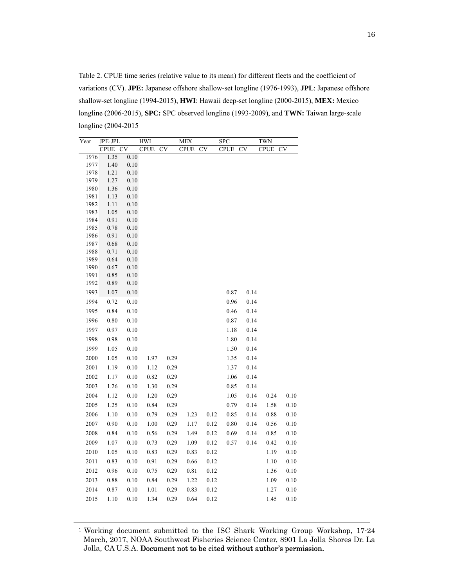Table 2. CPUE time series (relative value to its mean) for different fleets and the coefficient of variations (CV). **JPE:** Japanese offshore shallow-set longline (1976-1993), **JPL**: Japanese offshore shallow-set longline (1994-2015), **HWI**: Hawaii deep-set longline (2000-2015), **MEX:** Mexico longline (2006-2015), **SPC:** SPC observed longline (1993-2009), and **TWN:** Taiwan large-scale longline (2004-2015

| Year         | JPE-JPL      |              | <b>HWI</b>  |           | <b>MEX</b>  |           | <b>SPC</b>  |      | <b>TWN</b>  |           |
|--------------|--------------|--------------|-------------|-----------|-------------|-----------|-------------|------|-------------|-----------|
|              | <b>CPUE</b>  | <b>CV</b>    | <b>CPUE</b> | <b>CV</b> | <b>CPUE</b> | <b>CV</b> | <b>CPUE</b> | CV   | <b>CPUE</b> | <b>CV</b> |
| 1976         | 1.35         | 0.10         |             |           |             |           |             |      |             |           |
| 1977         | 1.40         | 0.10         |             |           |             |           |             |      |             |           |
| 1978         | 1.21         | $0.10\,$     |             |           |             |           |             |      |             |           |
| 1979         | 1.27         | 0.10         |             |           |             |           |             |      |             |           |
| 1980         | 1.36         | 0.10         |             |           |             |           |             |      |             |           |
| 1981<br>1982 | 1.13         | 0.10         |             |           |             |           |             |      |             |           |
| 1983         | 1.11<br>1.05 | 0.10<br>0.10 |             |           |             |           |             |      |             |           |
| 1984         | 0.91         | 0.10         |             |           |             |           |             |      |             |           |
| 1985         | 0.78         | 0.10         |             |           |             |           |             |      |             |           |
| 1986         | 0.91         | 0.10         |             |           |             |           |             |      |             |           |
| 1987         | 0.68         | 0.10         |             |           |             |           |             |      |             |           |
| 1988         | 0.71         | 0.10         |             |           |             |           |             |      |             |           |
| 1989         | 0.64         | 0.10         |             |           |             |           |             |      |             |           |
| 1990         | 0.67         | 0.10         |             |           |             |           |             |      |             |           |
| 1991         | 0.85         | $0.10\,$     |             |           |             |           |             |      |             |           |
| 1992         | 0.89         | 0.10         |             |           |             |           |             |      |             |           |
| 1993         | $1.07\,$     | 0.10         |             |           |             |           | 0.87        | 0.14 |             |           |
| 1994         | 0.72         | $0.10\,$     |             |           |             |           | 0.96        | 0.14 |             |           |
| 1995         | 0.84         | $0.10\,$     |             |           |             |           | 0.46        | 0.14 |             |           |
| 1996         | 0.80         | $0.10\,$     |             |           |             |           | 0.87        | 0.14 |             |           |
| 1997         | 0.97         | $0.10\,$     |             |           |             |           | 1.18        | 0.14 |             |           |
| 1998         | 0.98         | 0.10         |             |           |             |           | 1.80        | 0.14 |             |           |
| 1999         | 1.05         | 0.10         |             |           |             |           | 1.50        | 0.14 |             |           |
| 2000         | 1.05         | $0.10\,$     | 1.97        | 0.29      |             |           | 1.35        | 0.14 |             |           |
| 2001         | 1.19         | 0.10         | 1.12        | 0.29      |             |           | 1.37        | 0.14 |             |           |
| 2002         | 1.17         | 0.10         | 0.82        | 0.29      |             |           | 1.06        | 0.14 |             |           |
| 2003         | 1.26         | 0.10         | 1.30        | 0.29      |             |           | 0.85        | 0.14 |             |           |
| 2004         | 1.12         | 0.10         | 1.20        | 0.29      |             |           | 1.05        | 0.14 | 0.24        | 0.10      |
| 2005         | 1.25         | 0.10         | 0.84        | 0.29      |             |           | 0.79        | 0.14 | 1.58        | 0.10      |
| 2006         | 1.10         | 0.10         | 0.79        | 0.29      | 1.23        | 0.12      | 0.85        | 0.14 | 0.88        | 0.10      |
| 2007         | 0.90         | 0.10         | $1.00\,$    | 0.29      | 1.17        | 0.12      | 0.80        | 0.14 | 0.56        | 0.10      |
| 2008         | 0.84         | 0.10         | 0.56        | 0.29      | 1.49        | 0.12      | 0.69        | 0.14 | 0.85        | 0.10      |
| 2009         | $1.07\,$     | 0.10         | 0.73        | 0.29      | 1.09        | 0.12      | 0.57        | 0.14 | 0.42        | 0.10      |
| 2010         | 1.05         | 0.10         | 0.83        | 0.29      | 0.83        | 0.12      |             |      | 1.19        | $0.10\,$  |
|              |              |              |             |           |             |           |             |      |             |           |
| 2011         | 0.83         | 0.10         | 0.91        | 0.29      | 0.66        | 0.12      |             |      | 1.10        | $0.10\,$  |
| 2012         | 0.96         | 0.10         | 0.75        | 0.29      | 0.81        | 0.12      |             |      | 1.36        | $0.10\,$  |
| 2013         | 0.88         | 0.10         | 0.84        | 0.29      | 1.22        | 0.12      |             |      | 1.09        | 0.10      |
| 2014         | 0.87         | 0.10         | 1.01        | 0.29      | 0.83        | 0.12      |             |      | 1.27        | 0.10      |
| 2015         | 1.10         | 0.10         | 1.34        | 0.29      | 0.64        | 0.12      |             |      | 1.45        | 0.10      |

1 Working document submitted to the ISC Shark Working Group Workshop, 17-24 March, 2017, NOAA Southwest Fisheries Science Center, 8901 La Jolla Shores Dr. La Jolla, CA U.S.A. Document not to be cited without author's permission.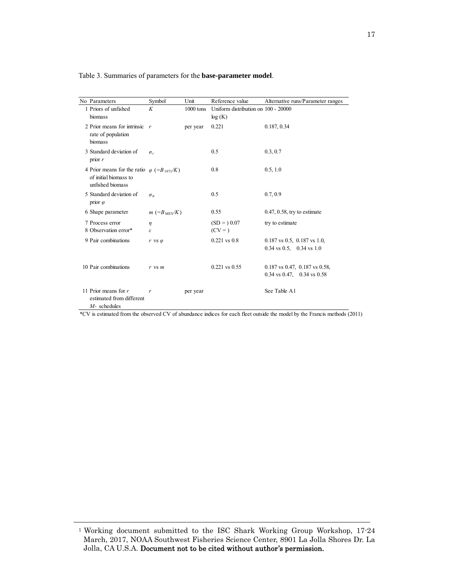| No Parameters                                                                                              | Symbol                  | Unit        | Reference value                               | Alternative runs/Parameter ranges                                              |
|------------------------------------------------------------------------------------------------------------|-------------------------|-------------|-----------------------------------------------|--------------------------------------------------------------------------------|
| 1 Priors of unfished<br>biomass                                                                            | K                       | $1000$ tons | Uniform distribution on 100 - 20000<br>log(K) |                                                                                |
| 2 Prior means for intrinsic $r$<br>rate of population<br>biomass                                           |                         | per year    | 0.221                                         | 0.187, 0.34                                                                    |
| 3 Standard deviation of<br>prior $r$                                                                       | $\sigma_r$              |             | 0.5                                           | 0.3, 0.7                                                                       |
| 4 Prior means for the ratio $\varphi$ (=B <sub>1971</sub> /K)<br>of initial biomass to<br>unfished biomass |                         |             | 0.8                                           | 0.5, 1.0                                                                       |
| 5 Standard deviation of<br>prior $\varphi$                                                                 | $\sigma_{\varphi}$      |             | 0.5                                           | 0.7, 0.9                                                                       |
| 6 Shape parameter                                                                                          | $m (=B_{\text{MSY}}/K)$ |             | 0.55                                          | $0.47, 0.58$ , try to estimate                                                 |
| 7 Process error<br>8 Observation error*                                                                    | $\eta$<br>ε             |             | $(SD = 0.07$<br>$(CV = )$                     | try to estimate                                                                |
| 9 Pair combinations                                                                                        | $r$ vs $\varphi$        |             | $0.221$ vs $0.8$                              | $0.187$ vs $0.5$ , $0.187$ vs $1.0$ ,<br>$0.34$ vs $0.5$ , $0.34$ vs $1.0$     |
| 10 Pair combinations                                                                                       | $r$ vs $m$              |             | $0.221$ vs $0.55$                             | $0.187$ vs $0.47$ , $0.187$ vs $0.58$ ,<br>$0.34$ vs $0.47$ , $0.34$ vs $0.58$ |
| 11 Prior means for $r$<br>estimated from different<br>$M$ - schedules                                      | r                       | per year    |                                               | See Table A1                                                                   |

Table 3. Summaries of parameters for the **base-parameter model**.

\*CV is estimated from the observed CV of abundance indices for each fleet outside the model by the Francis methods (2011)

<sup>1</sup> Working document submitted to the ISC Shark Working Group Workshop, 17-24 March, 2017, NOAA Southwest Fisheries Science Center, 8901 La Jolla Shores Dr. La Jolla, CA U.S.A. Document not to be cited without author's permission.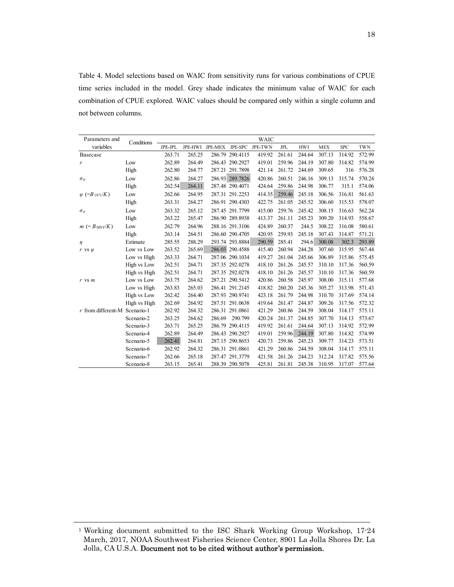Table 4. Model selections based on WAIC from sensitivity runs for various combinations of CPUE time series included in the model. Grey shade indicates the minimum value of WAIC for each combination of CPUE explored. WAIC values should be compared only within a single column and not between columns.

| Parameters and                    | Conditions   |         |        |                                 |                 | <b>WAIC</b> |        |            |            |            |            |
|-----------------------------------|--------------|---------|--------|---------------------------------|-----------------|-------------|--------|------------|------------|------------|------------|
| variables                         |              | JPE-JPL |        | JPE-HWI JPE-MEX JPE-SPC JPE-TWN |                 |             | JPL    | <b>HWI</b> | <b>MEX</b> | <b>SPC</b> | <b>TWN</b> |
| Basecase                          |              | 263.71  | 265.25 |                                 | 286.79 290.4115 | 419.92      | 261.61 | 244.64     | 307.13     | 314.92     | 572.99     |
| r                                 | Low          | 262.89  | 264.49 |                                 | 286.43 290.2927 | 419.01      | 259.96 | 244.19     | 307.80     | 314.82     | 574.99     |
|                                   | High         | 262.80  | 264.77 |                                 | 287.21 291.7898 | 421.14      | 261.72 | 244.69     | 309.65     | 316        | 576.28     |
| $\sigma_{\varphi}$                | Low          | 262.86  | 264.27 |                                 | 286.93 289.7826 | 420.86      | 260.51 | 246.16     | 309.13     | 315.74     | 570.24     |
|                                   | High         | 262.54  | 264.11 |                                 | 287.48 290.4071 | 424.64      | 259.86 | 244.98     | 306.77     | 315.1      | 574.06     |
| $\varphi$ (=B <sub>1971</sub> /K) | Low          | 262.66  | 264.95 |                                 | 287.31 291.2253 | 414.35      | 259.46 | 245.18     | 306.56     | 316.81     | 561.63     |
|                                   | High         | 263.31  | 264.27 |                                 | 286.91 290.4303 | 422.75      | 261.05 | 245.52     | 306.60     | 315.53     | 578.07     |
| $\sigma_{\varphi}$                | Low          | 263.32  | 265.12 |                                 | 287.45 291.7799 | 415.00      | 259.76 | 245.42     | 308.15     | 316.63     | 562.24     |
|                                   | High         | 263.22  | 265.47 |                                 | 286.90 289.8938 | 413.37      | 261.11 | 245.23     | 309.20     | 314.93     | 558.67     |
| $m (=B_{\text{MSY}}/K)$           | Low          | 262.79  | 264.96 |                                 | 288.16 291.3106 | 424.89      | 260.37 | 244.5      | 308.22     | 316.08     | 580.61     |
|                                   | High         | 263.14  | 264.51 |                                 | 286.60 290.4705 | 420.95      | 259.93 | 245.18     | 307.43     | 314.87     | 571.21     |
| η                                 | Estimate     | 285.55  | 288.29 |                                 | 293.74 293.8884 | 290.59      | 285.41 | 294.6      | 300.08     | 302.3      | 293.89     |
| $r$ vs $\varphi$                  | Low vs Low   | 263.52  | 265.69 |                                 | 286.03 290.4588 | 415.40      | 260.94 | 244.28     | 307.60     | 315.95     | 567.44     |
|                                   | Low vs High  | 263.33  | 264.71 |                                 | 287.06 290.1034 | 419.27      | 261.04 | 245.66     | 306.89     | 315.86     | 575.45     |
|                                   | High vs Low  | 262.51  | 264.71 |                                 | 287.35 292.0278 | 418.10      | 261.26 | 245.57     | 310.10     | 317.36     | 560.59     |
|                                   | High vs High | 262.51  | 264.71 |                                 | 287.35 292.0278 | 418.10      | 261.26 | 245.57     | 310.10     | 317.36     | 560.59     |
| $r$ vs $m$                        | Low vs Low   | 263.75  | 264.62 |                                 | 287.21 290.5412 | 420.86      | 260.58 | 245.97     | 308.00     | 315.11     | 577.68     |
|                                   | Low vs High  | 263.83  | 265.03 |                                 | 286.41 291.2145 | 418.82      | 260.20 | 245.36     | 305.27     | 313.98     | 571.43     |
|                                   | High vs Low  | 262.42  | 264.40 |                                 | 287.93 290.9741 | 423.18      | 261.79 | 244.98     | 310.70     | 317.69     | 574.14     |
|                                   | High vs High | 262.69  | 264.92 |                                 | 287.51 291.0638 | 419.64      | 261.47 | 244.87     | 309.26     | 317.56     | 572.32     |
| $r$ from different-M Scenario-1   |              | 262.92  | 264.32 |                                 | 286.31 291.0861 | 421.29      | 260.86 | 244.59     | 308.04     | 314.17     | 575.11     |
|                                   | Scenario-2   | 263.25  | 264.62 | 286.69                          | 290.799         | 420.24      | 261.37 | 244.85     | 307.70     | 314.13     | 573.67     |
|                                   | Scenario-3   | 263.71  | 265.25 |                                 | 286.79 290.4115 | 419.92      | 261.61 | 244.64     | 307.13     | 314.92     | 572.99     |
|                                   | Scenario-4   | 262.89  | 264.49 |                                 | 286.43 290.2927 | 419.01      | 259.96 | 244.19     | 307.80     | 314.82     | 574.99     |
|                                   | Scenario-5   | 262.41  | 264.81 |                                 | 287.15 290.8653 | 420.73      | 259.86 | 245.23     | 309.77     | 314.23     | 573.51     |
|                                   | Scenario-6   | 262.92  | 264.32 |                                 | 286.31 291.0861 | 421.29      | 260.86 | 244.59     | 308.04     | 314.17     | 575.11     |
|                                   | Scenario-7   | 262.66  | 265.18 |                                 | 287.47 291.3779 | 421.58      | 261.26 | 244.23     | 312.24     | 317.82     | 575.56     |
|                                   | Scenario-8   | 263.15  | 265.41 |                                 | 288.39 290.5078 | 425.81      | 261.81 | 245.38     | 310.95     | 317.07     | 577.64     |

<sup>1</sup> Working document submitted to the ISC Shark Working Group Workshop, 17-24 March, 2017, NOAA Southwest Fisheries Science Center, 8901 La Jolla Shores Dr. La Jolla, CA U.S.A. Document not to be cited without author's permission.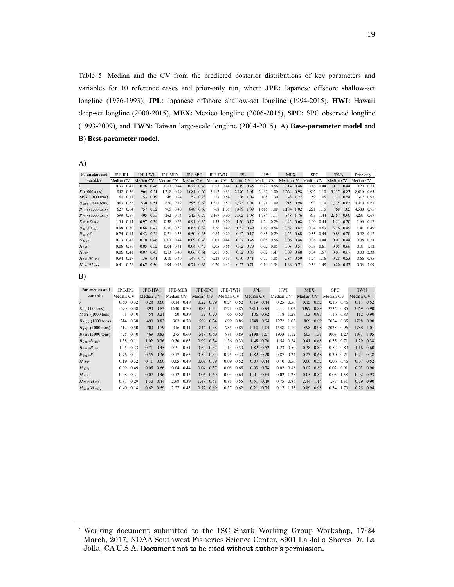Table 5. Median and the CV from the predicted posterior distributions of key parameters and variables for 10 reference cases and prior-only run, where **JPE:** Japanese offshore shallow-set longline (1976-1993), **JPL**: Japanese offshore shallow-set longline (1994-2015), **HWI**: Hawaii deep-set longline (2000-2015), **MEX:** Mexico longline (2006-2015), **SPC:** SPC observed longline (1993-2009), and **TWN:** Taiwan large-scale longline (2004-2015). A) **Base-parameter model** and B) **Best-parameter model**.

A)

| Parameters and               | JPE-JPL   |      | <b>JPE-HWI</b> |          | <b>JPE-MEX</b> |         | JPE-SPC   |             | <b>JPE-TWN</b> |      | <b>JPL</b> |      | <b>HWI</b> |      | <b>MEX</b> |      | <b>SPC</b>  |      | <b>TWN</b> |                   | Prior-only |                   |
|------------------------------|-----------|------|----------------|----------|----------------|---------|-----------|-------------|----------------|------|------------|------|------------|------|------------|------|-------------|------|------------|-------------------|------------|-------------------|
| variables                    | Median CV |      | Median CV      |          | Median CV      |         | Median CV |             | Median CV      |      | Median CV  |      | Median CV  |      | Median CV  |      | Median CV   |      | Median CV  |                   | Median CV  |                   |
|                              | 0.33      | 0.42 | 0.26           | 0.46     | 0.17           | 0.44    | 0.22      | 0.43        | 0.17           | 0.44 | 0.19       | 0.45 | 0.22       | 0.56 | 0.14       | 0.48 | 0.16        | 0.44 | 0.17       | 0.44              |            | $0.20 \quad 0.58$ |
| $K(1000 \text{ tons})$       | 842       | 0.56 | 964            | 0.51     | 1.218          | 0.49    | 1.081     | 0.62        | 3.117          | 0.83 | 2.496      | 1.01 | 2.492      | 1.00 | 1.664      | 0.98 | 1.805       | 1.10 | 3.117      | 0.83              | 8.016 0.63 |                   |
| MSY (1000 tons)              | 60        | 0.18 | 53             | 0.19     |                | 46 0.24 |           | 52 0.28     | 113            | 0.54 | 96         | 1.04 | 108        | 1.30 | 48         | 1.27 | 59          | 1.05 | 113        | 0.54              |            | 317 0.95          |
| $B_{\text{MSY}}$ (1000 tons) | 463       | 0.56 |                | 530 0.51 | 670            | 0.49    | 595       | 0.62        | 1.715          | 0.83 | 1,373      | 1.01 | 1,371      | 1.00 | 915        | 0.98 | 993         | 1.10 | 1,715      | 0.83              | 4,410 0.63 |                   |
| $B_{1971}$ (1000 tons)       | 627       | 0.64 | 757            | 0.52     | 905            | 0.40    | 848       | 0.65        | 768            | 1.05 | 1,489      | 1.09 | 1,616      | 1.08 | 1,184      | 1.02 | 1,221       | 1.15 | 768        | 1.05              | 4,588 0.75 |                   |
| $B_{2015}$ (1000 tons)       | 599       | 0.59 | 495            | 0.55     | 262            | 0.64    | 515       | 0.79        | 2.467          | 0.90 | 2.002      | 1.08 | 1.984      | 1.11 | 348        | 1.76 | 893         | 1.44 | 2.467      | 0.90              | 7,231 0.67 |                   |
| $B_{2015}/B_{\rm MSY}$       | 1.34      | 0.14 | 0.97           | 0.34     | 0.38           | 0.55    | 0.91      | 0.35        | 1.55           | 0.20 | 1.50       | 0.17 | 1.54       | 0.29 | 0.42       | 0.68 | 1.00        | 0.44 |            | 1.55 0.20         |            | 1.66 0.17         |
| $B_{2015}/B_{1971}$          | 0.98      | 0.30 | 0.68           | 0.42     | 0.30           | 0.52    | 0.63      | 0.39        | 3.26           | 0.49 | 1.32       | 0.49 | 1.19       | 0.54 | 0.32       | 0.87 | 0.74        | 0.63 |            | 3.26 0.49         |            | 1.41 0.49         |
| $B_{2015}/K$                 | 0.74      | 0.14 | 0.53           | 0.34     | 0.21           | 0.55    | 0.50      | 0.35        | 0.85           | 0.20 | 0.82       | 0.17 | 0.85       | 0.29 | 0.23       | 0.68 | $0.55$ 0.44 |      |            | 0.85 0.20         |            | 0.92 0.17         |
| $H_{\rm MSY}$                | 0.13      | 0.42 | 0.10           | 0.46     | 0.07           | 0.44    | 0.09      | 0.43        | 0.07           | 0.44 | 0.07       | 0.45 | 0.08       | 0.56 | 0.06       | 0.48 | $0.06$ 0.44 |      | 0.07       | 0.44              |            | $0.08$ 0.58       |
| $H_{1971}$                   | 0.06      | 0.56 | 0.05           | 0.52     | 0.04           | 0.41    | 0.04      | 0.47        | 0.05           | 0.66 | 0.02       | 0.79 | 0.02       | 0.85 | 0.03       | 0.51 | 0.03        | 0.61 |            | $0.05 \quad 0.66$ |            | $0.01$ 1.12       |
| $H_{2015}$                   | 0.06      | 0.41 | 0.07           | 0.45     | 0.13           | 0.46    |           | $0.06$ 0.61 | 0.01           | 0.67 | 0.02       | 0.85 | 0.02       | 1.47 | 0.09       | 0.68 | 0.04        | 1.57 | 0.01       | 0.67              |            | $0.00$ 2.33       |
| $H_{2015}/H_{1971}$          | 0.94      | 0.27 | 1.36           | 0.41     | 3.10           | 0.40    | 1.47      | 0.47        | 0.28           | 0.53 | 0.70       | 0.41 | 0.77       | 1.05 | 2.84       | 0.59 | 1.24        | 1.16 | 0.28       | 0.53              |            | 0.66 0.85         |
| $H_{2015}/H_{\rm MSY}$       | 0.41      | 0.26 | 0.67           | 0.50     | 1.94           | 0.46    | 0.71      | 0.66        | 0.20           | 0.43 | 0.23       | 0.71 | 0.19       | 1.94 | 1.88       | 0.71 | 0.56        | 1.45 |            | $0.20 \quad 0.43$ |            | 0.06 3.09         |

B)

| Parameters and               | JPE-JPL   |      | JPE-HWI   |                   | <b>JPE-MEX</b> |             | JPE-SPC   |             | JPE-TWN   |             | JPL       |      | HWI       |                   | <b>MEX</b> |             | <b>SPC</b>        |           | <b>TWN</b> |                   |
|------------------------------|-----------|------|-----------|-------------------|----------------|-------------|-----------|-------------|-----------|-------------|-----------|------|-----------|-------------------|------------|-------------|-------------------|-----------|------------|-------------------|
| variables                    | Median CV |      | Median CV |                   | Median CV      |             | Median CV |             | Median CV |             | Median CV |      | Median CV |                   | Median CV  |             | Median CV         |           | Median CV  |                   |
|                              | 0.50      | 0.32 | 0.28      | 0.60              | 0.14           | 0.49        | 0.22      | 0.29        | 0.24      | 0.52        | 0.19      | 0.44 | 0.25      | 0.56              | 0.15       | 0.52        | 0.16              | 0.46      | 0.17       | 0.52              |
| $K(1000 \text{ tons})$       | 570       | 0.38 | 890       | 0.83              | 1640           | 0.70        | 1083      | 0.34        | 1271      | 0.86        | 2814      | 0.94 | 2311      | 1.03              | 3397       | 0.89        | 3734              | 0.85      | 3269       | 0.90              |
| MSY (1000 tons)              | 61        | 0.10 |           | 54 0.21           |                | 50 0.39     | 52        | 0.20        |           | 66 0.50     | 106       | 0.92 | 118       | 1.29              | 103        | 0.93        | 116               | 0.87      |            | 112 0.90          |
| $B_{\text{MSY}}$ (1000 tons) | 314       | 0.38 | 490       | 0.83              |                | 902 0.70    | 596       | 0.34        | 699       | 0.86        | 1548      | 0.94 | 1272      | 1.03              | 1869       | 0.89        | 2054              | 0.85      |            | 1798 0.90         |
| $B_{1971}$ (1000 tons)       | 412       | 0.50 |           | 700 0.79          |                | 916 0.41    | 844       | 0.38        | 785       | 0.85        | 1210      | 1.04 | 1548      | 1.10              | 1898       | 0.98        | 2035              | 0.96      | 1788       | 1.01              |
| $B_{2015}$ (1000 tons)       | 425       | 0.40 |           | 469 0.83          | 275            | 0.60        |           | 518 0.50    | 888       | 0.89        | 2198      | 1.01 | 1933      | 1.12              | 603        | 1.31        | 1003              | 1.27      | 1981       | 1.05              |
| $B_{2015}/B_{\rm MSY}$       | 1.38      | 0.11 |           | $1.02 \quad 0.36$ | 0.30           | 0.63        |           | 0.90 0.34   |           | $1.36$ 0.30 | 1.48      | 0.20 |           | 1.58 0.24         | 0.41       | 0.68        | 0.55              | 0.71      | 1.29       | 0.38              |
| $B_{2015}/B_{1971}$          | 1.05      | 0.33 |           | $0.71 \quad 0.45$ | 0.31           | 0.51        |           | $0.62$ 0.37 | 1.14      | 0.50        | 1.82      | 0.52 | 1.23      | 0.50              | 0.38       | 0.83        | 0.52              | 0.89      |            | 1.16 0.60         |
| $B_{2015}/K$                 | 0.76      | 0.11 |           | $0.56$ 0.36       | 0.17           | 0.63        |           | 0.50 0.34   | 0.75      | 0.30        | 0.82      | 0.20 | 0.87      | 0.24              | 0.23       | 0.68        | 0.30 0.71         |           | 0.71       | 0.38              |
| $H_{\rm MSY}$                | 0.19      | 0.32 | 0.11      | 0.60              |                | $0.05$ 0.49 | 0.09      | 0.29        | 0.09      | 0.52        | 0.07      | 0.44 |           | $0.10 \quad 0.56$ |            | $0.06$ 0.52 | $0.06 \quad 0.46$ |           |            | $0.07$ 0.52       |
| $H_{1971}$                   | 0.09      | 0.49 |           | $0.05 \quad 0.66$ | 0.04           | 0.44        | 0.04      | 0.37        | 0.05      | 0.65        | 0.03      | 0.78 | 0.02      | 0.88              | 0.02       | 0.89        | 0.02              | 0.91      |            | $0.02 \quad 0.90$ |
| $H_{2015}$                   | 0.08      | 0.31 | 0.07      | 0.46              | 0.12           | 0.43        |           | $0.06$ 0.69 | 0.04      | 0.64        | 0.01      | 0.84 | 0.02      | 1.28              | 0.05       | 0.87        | 0.03              | 1.58      |            | $0.02 \quad 0.93$ |
| $H_{2015}/H_{1971}$          | 0.87      | 0.29 |           | 1.30 0.44         |                | 2.98 0.39   | 1.48      | 0.51        | 0.81      | 0.55        | 0.51      | 0.49 | 0.75      | 0.85              | 2.44       | 1.14        |                   | 1.77 1.31 | 0.79       | 0.90              |
| $H_{2015}/H_{MSY}$           | 0.40      | 0.18 |           | $0.62 \quad 0.59$ | 2.27           | 0.45        | 0.72      | 0.69        | 0.37      | 0.62        | 0.21      | 0.75 | 0.17      | 1.73              | 0.89       | 0.98        | 0.54              | 1.70      | 0.25       | 0.94              |

<sup>1</sup> Working document submitted to the ISC Shark Working Group Workshop, 17-24 March, 2017, NOAA Southwest Fisheries Science Center, 8901 La Jolla Shores Dr. La Jolla, CA U.S.A. Document not to be cited without author's permission.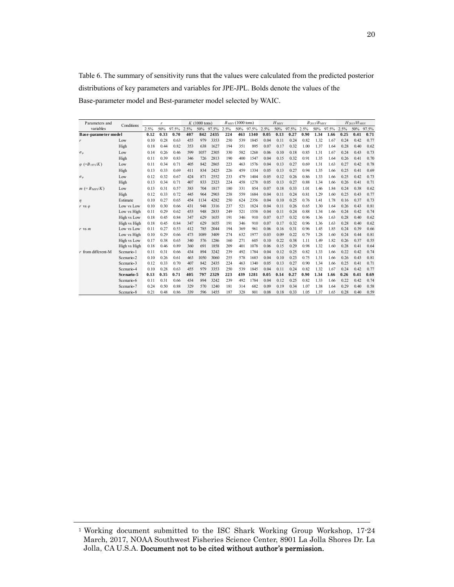Table 6. The summary of sensitivity runs that the values were calculated from the predicted posterior distributions of key parameters and variables for JPE-JPL. Bolds denote the values of the Base-parameter model and Best-parameter model selected by WAIC.

| Parameters and                    | Conditions   |      | r    |       |      | $K(1000 \text{ tons})$ |       |      | $B_{\text{MSY}}(1000 \text{ tons})$ |       |      | $H_{\rm MSY}$ |       |      | $B_{2015}/B_{\rm MSY}$ |            |      | $H_{2015}/H_{MSY}$ |           |
|-----------------------------------|--------------|------|------|-------|------|------------------------|-------|------|-------------------------------------|-------|------|---------------|-------|------|------------------------|------------|------|--------------------|-----------|
| variables                         |              | 2.5% | 50%  | 97.5% | 2.5% | 50%                    | 97.5% | 2.5% | 50%                                 | 97.5% | 2.5% | 50%           | 97.5% | 2.5% | 50%                    | 97.5% 2.5% |      |                    | 50% 97.5% |
| <b>Base-parameter model</b>       |              | 0.12 | 0.33 | 0.70  | 407  | 842                    | 2435  | 224  | 463                                 | 1340  | 0.05 | 0.13          | 0.27  | 0.90 | 1.34                   | 1.66       | 0.25 | 0.41               | 0.71      |
| r                                 | Low          | 0.10 | 0.28 | 0.63  | 455  | 979                    | 3353  | 250  | 539                                 | 1845  | 0.04 | 0.11          | 0.24  | 0.82 | 1.32                   | 1.67       | 0.24 | 0.42               | 0.77      |
|                                   | High         | 0.18 | 0.44 | 0.82  | 353  | 638                    | 1627  | 194  | 351                                 | 895   | 0.07 | 0.17          | 0.32  | 1.00 | 1.37                   | 1.64       | 0.28 | 0.40               | 0.62      |
| $\sigma_{\varphi}$                | Low          | 0.14 | 0.26 | 0.46  | 599  | 1057                   | 2305  | 330  | 582                                 | 1268  | 0.06 | 0.10          | 0.18  | 0.85 | 1.31                   | 1.67       | 0.24 | 0.43               | 0.73      |
|                                   | High         | 0.11 | 0.39 | 0.83  | 346  | 726                    | 2813  | 190  | 400                                 | 1547  | 0.04 | 0.15          | 0.32  | 0.91 | 1.35                   | 1.64       | 0.26 | 0.41               | 0.70      |
| $\varphi$ (=B <sub>1971</sub> /K) | Low          | 0.11 | 0.34 | 0.71  | 405  | 842                    | 2865  | 223  | 463                                 | 1576  | 0.04 | 0.13          | 0.27  | 0.69 | 1.31                   | 1.63       | 0.27 | 0.42               | 0.78      |
|                                   | High         | 0.13 | 0.33 | 0.69  | 411  | 834                    | 2425  | 226  | 459                                 | 1334  | 0.05 | 0.13          | 0.27  | 0.94 | 1.35                   | 1.66       | 0.25 | 0.41               | 0.69      |
| $\sigma_{\varphi}$                | Low          | 0.12 | 0.32 | 0.67  | 424  | 871                    | 2552  | 233  | 479                                 | 1404  | 0.05 | 0.12          | 0.26  | 0.86 | 1.33                   | 1.66       | 0.25 | 0.42               | 0.73      |
|                                   | High         | 0.13 | 0.34 | 0.71  | 407  | 833                    | 2323  | 224  | 458                                 | 1278  | 0.05 | 0.13          | 0.27  | 0.88 | 1.34                   | 1.66       | 0.26 | 0.41               | 0.71      |
| $m (=B_{\text{MSY}}/K)$           | Low          | 0.13 | 0.31 | 0.57  | 383  | 704                    | 1817  | 180  | 331                                 | 854   | 0.07 | 0.18          | 0.33  | 1.01 | 1.46                   | 1.84       | 0.24 | 0.38               | 0.62      |
|                                   | High         | 0.12 | 0.33 | 0.72  | 445  | 964                    | 2903  | 258  | 559                                 | 1684  | 0.04 | 0.11          | 0.24  | 0.81 | 1.29                   | 1.60       | 0.25 | 0.43               | 0.77      |
| $\eta$                            | Estimate     | 0.10 | 0.27 | 0.65  | 454  | 1134                   | 4282  | 250  | 624                                 | 2356  | 0.04 | 0.10          | 0.25  | 0.76 | 1.41                   | 1.78       | 0.16 | 0.37               | 0.73      |
| $r$ vs $\varphi$                  | Low vs Low   | 0.10 | 0.30 | 0.66  | 431  | 948                    | 3316  | 237  | 521                                 | 1824  | 0.04 | 0.11          | 0.26  | 0.65 | 1.30                   | 1.64       | 0.26 | 0.43               | 0.81      |
|                                   | Low vs High  | 0.11 | 0.29 | 0.62  | 453  | 948                    | 2833  | 249  | 521                                 | 1558  | 0.04 | 0.11          | 0.24  | 0.88 | 1.34                   | 1.66       | 0.24 | 0.42               | 0.74      |
|                                   | High vs Low  | 0.18 | 0.45 | 0.84  | 347  | 629                    | 1655  | 191  | 346                                 | 910   | 0.07 | 0.17          | 0.32  | 0.96 | 1.36                   | 1.63       | 0.28 | 0.40               | 0.62      |
|                                   | High vs High | 0.18 | 0.45 | 0.84  | 347  | 629                    | 1655  | 191  | 346                                 | 910   | 0.07 | 0.17          | 0.32  | 0.96 | 1.36                   | 1.63       | 0.28 | 0.40               | 0.62      |
| $r$ vs $m$                        | Low vs Low   | 0.11 | 0.27 | 0.53  | 412  | 785                    | 2044  | 194  | 369                                 | 961   | 0.06 | 0.16          | 0.31  | 0.96 | 1.45                   | 1.85       | 0.24 | 0.39               | 0.66      |
|                                   | Low vs High  | 0.10 | 0.29 | 0.66  | 473  | 1089                   | 3409  | 274  | 632                                 | 1977  | 0.03 | 0.09          | 0.22  | 0.79 | 1.28                   | 1.60       | 0.24 | 0.44               | 0.81      |
|                                   | High vs Low  | 0.17 | 0.38 | 0.65  | 340  | 576                    | 1286  | 160  | 271                                 | 605   | 0.10 | 0.22          | 0.38  | 1.11 | 1.49                   | 1.82       | 0.26 | 0.37               | 0.55      |
|                                   | High vs High | 0.18 | 0.46 | 0.89  | 360  | 691                    | 1858  | 209  | 401                                 | 1078  | 0.06 | 0.15          | 0.29  | 0.98 | 1.32                   | 1.60       | 0.28 | 0.41               | 0.64      |
| $r$ from different-M              | Scenario-1   | 0.11 | 0.31 | 0.66  | 434  | 894                    | 3242  | 239  | 492                                 | 1784  | 0.04 | 0.12          | 0.25  | 0.82 | 1.33                   | 1.66       | 0.22 | 0.42               | 0.74      |
|                                   | Scenario-2   | 0.10 | 0.26 | 0.61  | 463  | 1050                   | 3060  | 255  | 578                                 | 1683  | 0.04 | 0.10          | 0.23  | 0.75 | 1.31                   | 1.66       | 0.26 | 0.43               | 0.81      |
|                                   | Scenario-3   | 0.12 | 0.33 | 0.70  | 407  | 842                    | 2435  | 224  | 463                                 | 1340  | 0.05 | 0.13          | 0.27  | 0.90 | 1.34                   | 1.66       | 0.25 | 0.41               | 0.71      |
|                                   | Scenario-4   | 0.10 | 0.28 | 0.63  | 455  | 979                    | 3353  | 250  | 539                                 | 1845  | 0.04 | 0.11          | 0.24  | 0.82 | 1.32                   | 1.67       | 0.24 | 0.42               | 0.77      |
|                                   | Scenario-5   | 0.13 | 0.35 | 0.71  | 405  | 797                    | 2329  | 223  | 439                                 | 1281  | 0.05 | 0.14          | 0.27  | 0.90 | 1.34                   | 1.66       | 0.26 | 0.41               | 0.69      |
|                                   | Scenario-6   | 0.11 | 0.31 | 0.66  | 434  | 894                    | 3242  | 239  | 492                                 | 1784  | 0.04 | 0.12          | 0.25  | 0.82 | 1.33                   | 1.66       | 0.22 | 0.42               | 0.74      |
|                                   | Scenario-7   | 0.24 | 0.50 | 0.88  | 329  | 570                    | 1240  | 181  | 314                                 | 682   | 0.09 | 0.19          | 0.34  | 1.07 | 1.38                   | 1.64       | 0.29 | 0.40               | 0.58      |
|                                   | Scenario-8   | 0.21 | 0.48 | 0.86  | 339  | 596                    | 1455  | 187  | 328                                 | 801   | 0.08 | 0.18          | 0.33  | 1.05 | 1.37                   | 1.65       | 0.28 | 0.40               | 0.59      |

<sup>1</sup> Working document submitted to the ISC Shark Working Group Workshop, 17-24 March, 2017, NOAA Southwest Fisheries Science Center, 8901 La Jolla Shores Dr. La Jolla, CA U.S.A. Document not to be cited without author's permission.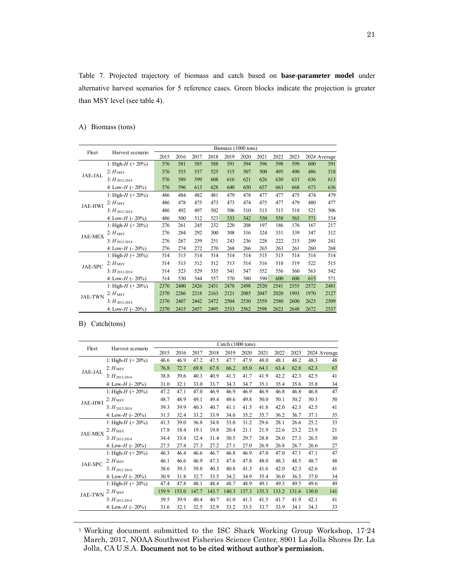Table 7. Projected trajectory of biomass and catch based on **base-parameter model** under alternative harvest scenarios for 5 reference cases. Green blocks indicate the projection is greater than MSY level (see table 4).

## A) Biomass (tons)

|                |                       |      |      |      |      |      | Biomass (1000 tons) |      |      |      |      |              |
|----------------|-----------------------|------|------|------|------|------|---------------------|------|------|------|------|--------------|
| Fleet          | Harvest scenario      | 2015 | 2016 | 2017 | 2018 | 2019 | 2020                | 2021 | 2022 | 2023 |      | 2024 Average |
|                | 1: High- $H$ (+ 20%)  | 576  | 581  | 585  | 588  | 591  | 594                 | 596  | 598  | 599  | 600  | 591          |
| JAE-JAL        | $2:$ $H_{\text{MSY}}$ | 576  | 553  | 537  | 525  | 515  | 507                 | 500  | 495  | 490  | 486  | 518          |
|                | $3: H_{2012-2014}$    | 576  | 589  | 599  | 608  | 616  | 621                 | 626  | 630  | 633  | 636  | 613          |
|                | 4: Low-H $(-20\%)$    | 576  | 596  | 613  | 628  | 640  | 650                 | 657  | 663  | 668  | 673  | 636          |
|                | 1: High- $H$ (+20%)   | 486  | 484  | 482  | 481  | 479  | 478                 | 477  | 477  | 475  | 474  | 479          |
| <b>JAE-HWI</b> | $2:$ $H_{\rm MSY}$    | 486  | 478  | 475  | 473  | 473  | 474                 | 475  | 477  | 479  | 480  | 477          |
|                | $3: H_{2012-2014}$    | 486  | 492  | 497  | 502  | 506  | 510                 | 513  | 515  | 518  | 521  | 506          |
|                | 4: Low-H $(-20\%)$    | 486  | 500  | 512  | 523  | 533  | 542                 | 550  | 558  | 565  | 571  | 534          |
|                | 1: High- $H$ (+ 20%)  | 276  | 261  | 245  | 232  | 220  | 208                 | 197  | 186  | 176  | 167  | 217          |
| <b>JAE-MEX</b> | $2:$ $H_{\rm MSY}$    | 276  | 284  | 292  | 300  | 308  | 316                 | 324  | 331  | 339  | 347  | 312          |
|                | $3: H_{2012-2014}$    | 276  | 267  | 259  | 251  | 243  | 236                 | 228  | 222  | 215  | 209  | 241          |
|                | 4: Low-H $(-20\%)$    | 276  | 274  | 272  | 270  | 268  | 266                 | 265  | 263  | 261  | 260  | 268          |
|                | 1: High- $H$ (+20%)   | 514  | 515  | 514  | 514  | 514  | 514                 | 515  | 515  | 514  | 514  | 514          |
| JAE-SPC        | $2:$ $H_{\text{MSY}}$ | 514  | 513  | 512  | 512  | 513  | 514                 | 516  | 518  | 519  | 522  | 515          |
|                | $3: H_{2012-2014}$    | 514  | 523  | 529  | 535  | 541  | 547                 | 552  | 556  | 560  | 563  | 542          |
|                | 4: Low-H $(-20\%)$    | 514  | 530  | 544  | 557  | 570  | 580                 | 590  | 600  | 608  | 615  | 571          |
| <b>JAE-TWN</b> | 1: High- $H$ (+ 20%)  | 2370 | 2400 | 2426 | 2451 | 2478 | 2498                | 2520 | 2541 | 2555 | 2572 | 2481         |
|                | $2:$ $H_{\rm MSY}$    | 2370 | 2286 | 2218 | 2163 | 2121 | 2085                | 2047 | 2020 | 1993 | 1970 | 2127         |
|                | $3: H_{2012-2014}$    | 2370 | 2407 | 2442 | 2472 | 2504 | 2530                | 2559 | 2580 | 2600 | 2623 | 2509         |
|                | 4: Low-H $(-20\%)$    | 2370 | 2415 | 2457 | 2495 | 2533 | 2562                | 2598 | 2623 | 2648 | 2672 | 2537         |

## B) Catch(tons)

| Fleet          | Harvest scenario      |       |       |       |       |       | Catch (1000 tons) |       |       |       |       |              |
|----------------|-----------------------|-------|-------|-------|-------|-------|-------------------|-------|-------|-------|-------|--------------|
|                |                       | 2015  | 2016  | 2017  | 2018  | 2019  | 2020              | 2021  | 2022  | 2023  |       | 2024 Average |
|                | 1: High- $H$ (+ 20%)  | 46.6  | 46.9  | 47.2  | 47.5  | 47.7  | 47.9              | 48.0  | 48.1  | 48.2  | 48.3  | 48           |
| JAE-JAL        | $2:$ $H_{\text{MSY}}$ | 76.8  | 72.7  | 69.8  | 67.8  | 66.2  | 65.0              | 64.1  | 63.4  | 62.8  | 62.3  | 67           |
|                | $3: H_{2012-2014}$    | 38.8  | 39.6  | 40.3  | 40.9  | 41.3  | 41.7              | 41.9  | 42.2  | 42.3  | 42.5  | 41           |
|                | 4: Low-H $(-20\%)$    | 31.0  | 32.1  | 33.0  | 33.7  | 34.3  | 34.7              | 35.1  | 35.4  | 35.6  | 35.8  | 34           |
|                | 1: High- $H$ (+20%)   | 47.2  | 47.1  | 47.0  | 46.9  | 46.9  | 46.9              | 46.9  | 46.8  | 46.8  | 46.8  | 47           |
| <b>JAE-HWI</b> | $2:$ $H_{\text{MSY}}$ | 48.7  | 48.9  | 49.1  | 49.4  | 49.6  | 49.8              | 50.0  | 50.1  | 50.2  | 50.3  | 50           |
|                | $3: H_{2012-2014}$    | 39.3  | 39.9  | 40.3  | 40.7  | 41.1  | 41.5              | 41.8  | 42.0  | 42.3  | 42.5  | 41           |
|                | 4: Low-H $(-20\%)$    | 31.5  | 32.4  | 33.2  | 33.9  | 34.6  | 35.2              | 35.7  | 36.2  | 36.7  | 37.1  | 35           |
|                | 1: High- $H$ (+ 20%)  | 41.3  | 39.0  | 36.8  | 34.8  | 33.0  | 31.2              | 29.6  | 28.1  | 26.6  | 25.2  | 33           |
| <b>JAE-MEX</b> | $2:$ $H_{\text{MSY}}$ | 17.8  | 18.4  | 19.1  | 19.8  | 20.4  | 21.1              | 21.9  | 22.6  | 23.2  | 23.9  | 21           |
|                | $3: H_{2012-2014}$    | 34.4  | 33.4  | 32.4  | 31.4  | 30.5  | 29.7              | 28.8  | 28.0  | 27.3  | 26.5  | 30           |
|                | 4: Low-H $(-20\%)$    | 27.5  | 27.4  | 27.3  | 27.2  | 27.1  | 27.0              | 26.9  | 26.8  | 26.7  | 26.6  | 27           |
|                | 1: High- $H$ (+ 20%)  | 46.3  | 46.4  | 46.6  | 46.7  | 46.8  | 46.9              | 47.0  | 47.0  | 47.1  | 47.1  | 47           |
| JAE-SPC        | $2:$ $H_{\text{MSY}}$ | 46.1  | 46.6  | 46.9  | 47.3  | 47.6  | 47.8              | 48.0  | 48.3  | 48.5  | 48.7  | 48           |
|                | $3: H_{2012-2014}$    | 38.6  | 39.3  | 39.8  | 40.3  | 40.8  | 41.3              | 41.6  | 42.0  | 42.3  | 42.6  | 41           |
|                | 4: Low-H $(-20\%)$    | 30.9  | 31.8  | 32.7  | 33.5  | 34.2  | 34.9              | 35.4  | 36.0  | 36.5  | 37.0  | 34           |
| <b>JAE-TWN</b> | 1: High- $H$ (+ 20%)  | 47.4  | 47.8  | 48.1  | 48.4  | 48.7  | 48.9              | 49.1  | 49.3  | 49.5  | 49.6  | 49           |
|                | $2: H_{\rm MSY}$      | 159.9 | 153.0 | 147.7 | 143.7 | 140.3 | 137.3             | 135.3 | 133.2 | 131.6 | 130.0 | 141          |
|                | $3: H_{2012-2014}$    | 39.5  | 39.9  | 40.4  | 40.7  | 41.0  | 41.3              | 41.5  | 41.7  | 41.9  | 42.1  | 41           |
|                | 4: Low-H $(-20\%)$    | 31.6  | 32.1  | 32.5  | 32.9  | 33.2  | 33.5              | 33.7  | 33.9  | 34.1  | 34.3  | 33           |

1 Working document submitted to the ISC Shark Working Group Workshop, 17-24 March, 2017, NOAA Southwest Fisheries Science Center, 8901 La Jolla Shores Dr. La Jolla, CA U.S.A. Document not to be cited without author's permission.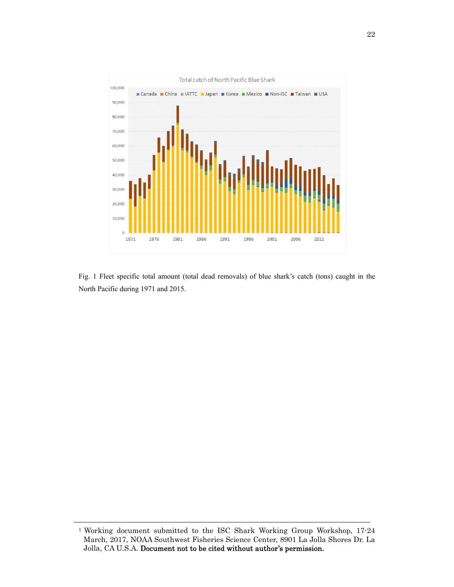

Fig. 1 Fleet specific total amount (total dead removals) of blue shark's catch (tons) caught in the North Pacific during 1971 and 2015.

<sup>&</sup>lt;sup>1</sup> Working document submitted to the ISC Shark Working Group Workshop, 17-24 March, 2017, NOAA Southwest Fisheries Science Center, 8901 La Jolla Shores Dr. La Jolla, CA U.S.A. Document not to be cited without author's permission.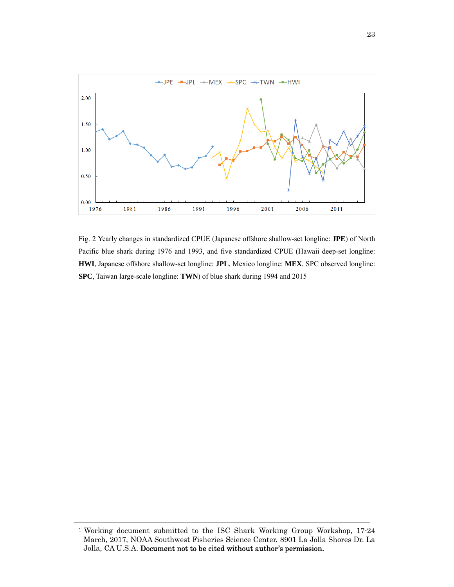

Fig. 2 Yearly changes in standardized CPUE (Japanese offshore shallow-set longline: **JPE**) of North Pacific blue shark during 1976 and 1993, and five standardized CPUE (Hawaii deep-set longline: **HWI**, Japanese offshore shallow-set longline: **JPL**, Mexico longline: **MEX**, SPC observed longline: **SPC**, Taiwan large-scale longline: **TWN**) of blue shark during 1994 and 2015

<sup>&</sup>lt;sup>1</sup> Working document submitted to the ISC Shark Working Group Workshop, 17-24 March, 2017, NOAA Southwest Fisheries Science Center, 8901 La Jolla Shores Dr. La Jolla, CA U.S.A. Document not to be cited without author's permission.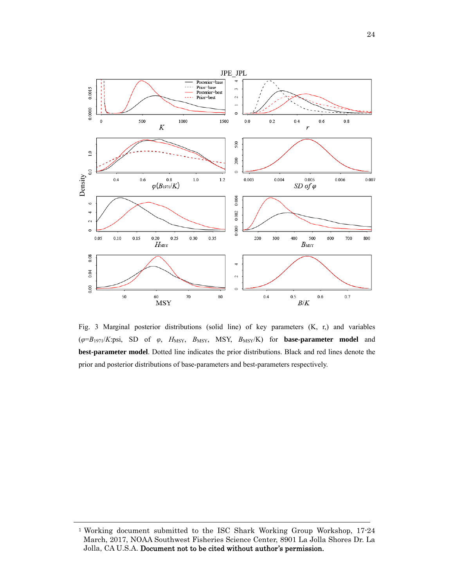

Fig. 3 Marginal posterior distributions (solid line) of key parameters (K, r,) and variables (*φ*=*B*1971/*K*:psi, SD of *φ*, *H*MSY, *B*MSY, MSY, *B*MSY/K) for **base-parameter model** and **best-parameter model**. Dotted line indicates the prior distributions. Black and red lines denote the prior and posterior distributions of base-parameters and best-parameters respectively.

<sup>1</sup> Working document submitted to the ISC Shark Working Group Workshop, 17-24 March, 2017, NOAA Southwest Fisheries Science Center, 8901 La Jolla Shores Dr. La Jolla, CA U.S.A. Document not to be cited without author's permission.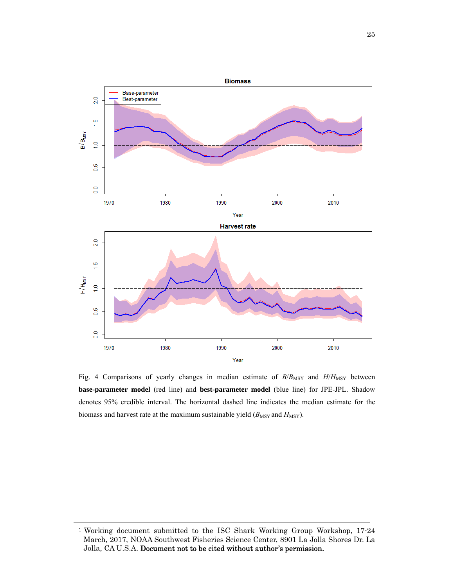

Fig. 4 Comparisons of yearly changes in median estimate of  $B/B_{\rm MSY}$  and  $H/H_{\rm MSY}$  between **base-parameter model** (red line) and **best-parameter model** (blue line) for JPE-JPL. Shadow denotes 95% credible interval. The horizontal dashed line indicates the median estimate for the biomass and harvest rate at the maximum sustainable yield  $(B_{\text{MSY}}$  and  $H_{\text{MSY}}$ ).

<sup>&</sup>lt;sup>1</sup> Working document submitted to the ISC Shark Working Group Workshop, 17-24 March, 2017, NOAA Southwest Fisheries Science Center, 8901 La Jolla Shores Dr. La Jolla, CA U.S.A. Document not to be cited without author's permission.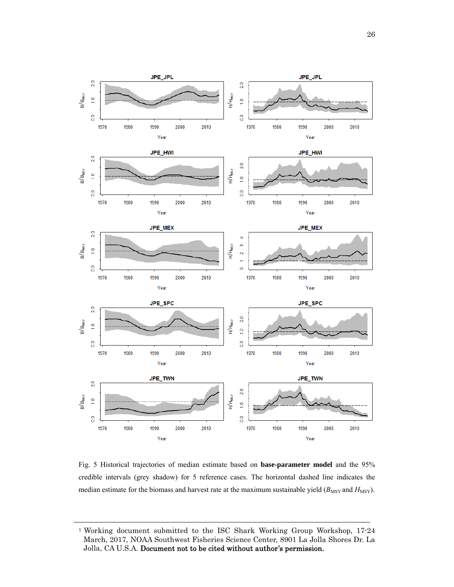

Fig. 5 Historical trajectories of median estimate based on **base-parameter model** and the 95% credible intervals (grey shadow) for 5 reference cases. The horizontal dashed line indicates the median estimate for the biomass and harvest rate at the maximum sustainable yield  $(B_{\text{MSY}}$  and  $H_{\text{MSY}})$ .

<sup>1</sup> Working document submitted to the ISC Shark Working Group Workshop, 17-24 March, 2017, NOAA Southwest Fisheries Science Center, 8901 La Jolla Shores Dr. La Jolla, CA U.S.A. Document not to be cited without author's permission.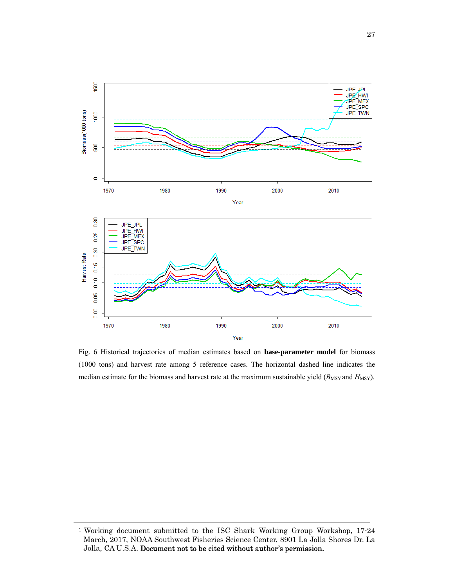

Fig. 6 Historical trajectories of median estimates based on **base-parameter model** for biomass (1000 tons) and harvest rate among 5 reference cases. The horizontal dashed line indicates the median estimate for the biomass and harvest rate at the maximum sustainable yield ( $B_{\text{MSY}}$  and  $H_{\text{MSY}}$ ).

<sup>&</sup>lt;sup>1</sup> Working document submitted to the ISC Shark Working Group Workshop, 17-24 March, 2017, NOAA Southwest Fisheries Science Center, 8901 La Jolla Shores Dr. La Jolla, CA U.S.A. Document not to be cited without author's permission.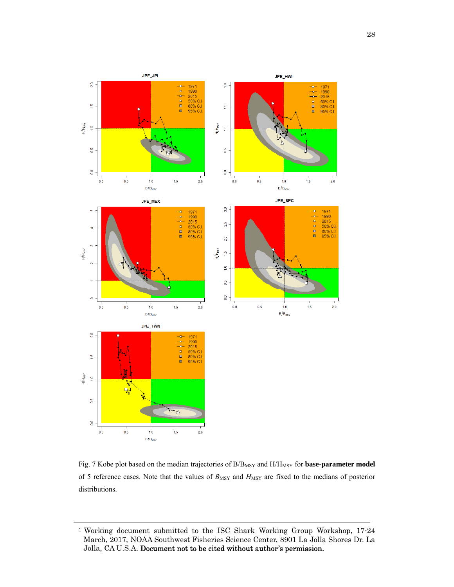

Fig. 7 Kobe plot based on the median trajectories of B/B<sub>MSY</sub> and H/H<sub>MSY</sub> for **base-parameter model** of 5 reference cases. Note that the values of  $B_{\text{MSY}}$  and  $H_{\text{MSY}}$  are fixed to the medians of posterior distributions.

<sup>1</sup> Working document submitted to the ISC Shark Working Group Workshop, 17-24 March, 2017, NOAA Southwest Fisheries Science Center, 8901 La Jolla Shores Dr. La Jolla, CA U.S.A. Document not to be cited without author's permission.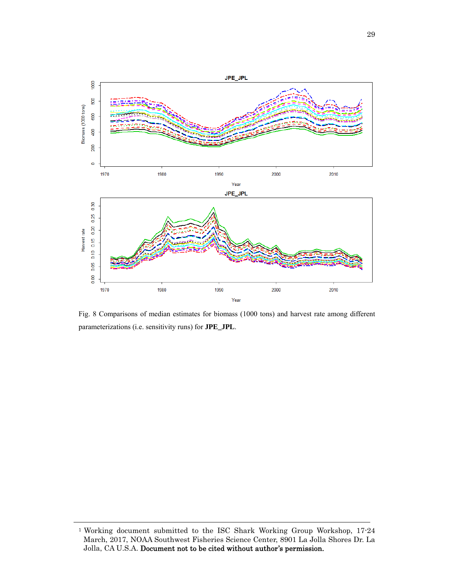

Fig. 8 Comparisons of median estimates for biomass (1000 tons) and harvest rate among different parameterizations (i.e. sensitivity runs) for **JPE\_JPL**.

<sup>1</sup> Working document submitted to the ISC Shark Working Group Workshop, 17-24 March, 2017, NOAA Southwest Fisheries Science Center, 8901 La Jolla Shores Dr. La Jolla, CA U.S.A. Document not to be cited without author's permission.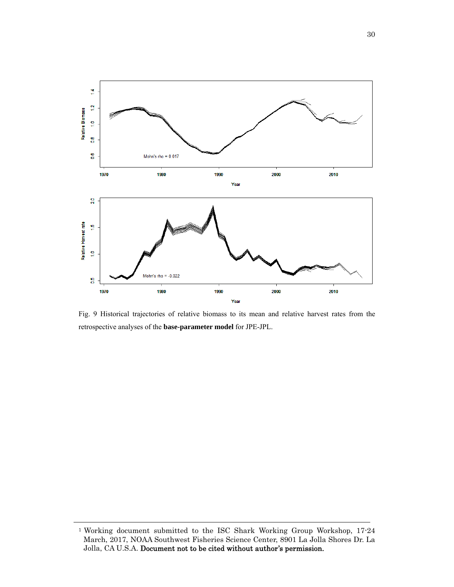

Fig. 9 Historical trajectories of relative biomass to its mean and relative harvest rates from the retrospective analyses of the **base-parameter model** for JPE-JPL.

<sup>1</sup> Working document submitted to the ISC Shark Working Group Workshop, 17-24 March, 2017, NOAA Southwest Fisheries Science Center, 8901 La Jolla Shores Dr. La Jolla, CA U.S.A. Document not to be cited without author's permission.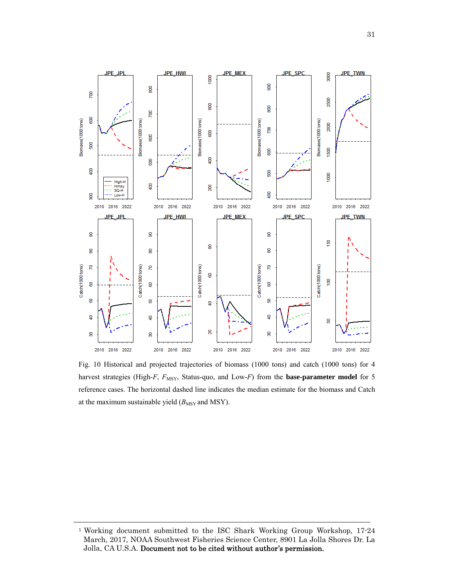

Fig. 10 Historical and projected trajectories of biomass (1000 tons) and catch (1000 tons) for 4 harvest strategies (High-*F*, *F*<sub>MSY</sub>, Status-quo, and Low-*F*) from the **base-parameter model** for 5 reference cases. The horizontal dashed line indicates the median estimate for the biomass and Catch at the maximum sustainable yield  $(B_{\text{MSY}}$  and MSY).

<sup>1</sup> Working document submitted to the ISC Shark Working Group Workshop, 17-24 March, 2017, NOAA Southwest Fisheries Science Center, 8901 La Jolla Shores Dr. La Jolla, CA U.S.A. Document not to be cited without author's permission.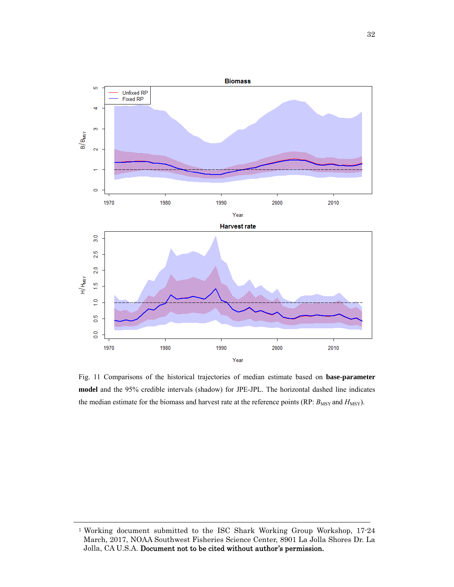

Fig. 11 Comparisons of the historical trajectories of median estimate based on **base-parameter model** and the 95% credible intervals (shadow) for JPE-JPL. The horizontal dashed line indicates the median estimate for the biomass and harvest rate at the reference points (RP:  $B_{\text{MSY}}$  and  $H_{\text{MSY}}$ ).

<sup>&</sup>lt;sup>1</sup> Working document submitted to the ISC Shark Working Group Workshop, 17-24 March, 2017, NOAA Southwest Fisheries Science Center, 8901 La Jolla Shores Dr. La Jolla, CA U.S.A. Document not to be cited without author's permission.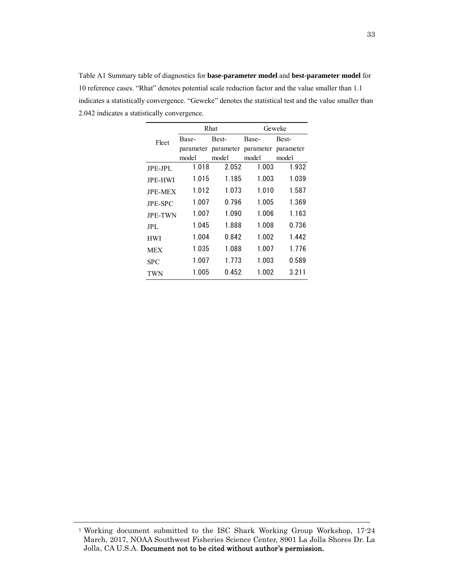|                |           | Rhat  |                               | Geweke |
|----------------|-----------|-------|-------------------------------|--------|
| Fleet          | Base-     | Best- | Base-                         | Best-  |
|                | parameter |       | parameter parameter parameter |        |
|                | model     | model | model                         | model  |
| JPE-JPL        | 1.018     | 2.052 | 1.003                         | 1.932  |
| <b>JPE-HWI</b> | 1.015     | 1.185 | 1.003                         | 1.039  |
| <b>JPE-MEX</b> | 1.012     | 1.073 | 1.010                         | 1.587  |
| <b>JPE-SPC</b> | 1.007     | 0.796 | 1.005                         | 1.369  |
| <b>JPE-TWN</b> | 1.007     | 1.090 | 1.006                         | 1.163  |
| JPL.           | 1.045     | 1.888 | 1.008                         | 0.736  |
| <b>HWI</b>     | 1.004     | 0.842 | 1.002                         | 1.442  |
| <b>MEX</b>     | 1.035     | 1.088 | 1.007                         | 1.776  |
| SPC            | 1.007     | 1.773 | 1.003                         | 0.589  |
| TWN            | 1.005     | 0.452 | 1.002                         | 3.211  |

Table A1 Summary table of diagnostics for **base-parameter model** and **best-parameter model** for 10 reference cases. "Rhat" denotes potential scale reduction factor and the value smaller than 1.1 indicates a statistically convergence. "Geweke" denotes the statistical test and the value smaller than 2.042 indicates a statistically convergence.

<sup>1</sup> Working document submitted to the ISC Shark Working Group Workshop, 17-24 March, 2017, NOAA Southwest Fisheries Science Center, 8901 La Jolla Shores Dr. La Jolla, CA U.S.A. Document not to be cited without author's permission.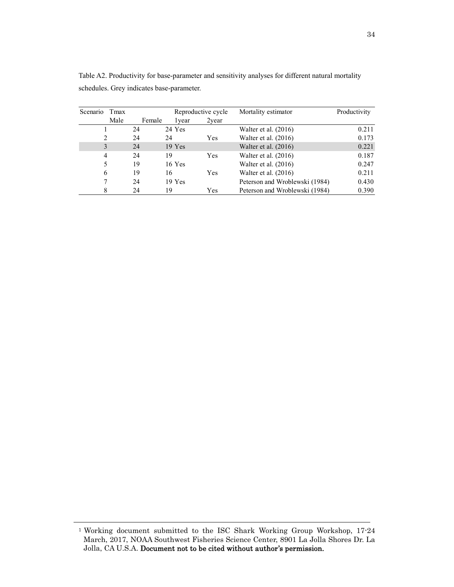| Scenario | Tmax |        |          | Reproductive cycle |       | Mortality estimator            | Productivity |
|----------|------|--------|----------|--------------------|-------|--------------------------------|--------------|
|          | Male | Female |          | 1 vear             | 2year |                                |              |
|          |      | 24     | 24 Yes   |                    |       | Walter et al. $(2016)$         | 0.211        |
| 2        |      | 24     | 24       |                    | Yes   | Walter et al. $(2016)$         | 0.173        |
| 3        |      | 24     | $19$ Yes |                    |       | Walter et al. $(2016)$         | 0.221        |
| 4        |      | 24     | 19       |                    | Yes   | Walter et al. $(2016)$         | 0.187        |
| 5        |      | 19     | $16$ Yes |                    |       | Walter et al. $(2016)$         | 0.247        |
| 6        |      | 19     | 16       |                    | Yes   | Walter et al. $(2016)$         | 0.211        |
| 7        |      | 24     | $19$ Yes |                    |       | Peterson and Wroblewski (1984) | 0.430        |
| 8        |      | 24     | 19       |                    | Yes   | Peterson and Wroblewski (1984) | 0.390        |

Table A2. Productivity for base-parameter and sensitivity analyses for different natural mortality schedules. Grey indicates base-parameter.

<sup>1</sup> Working document submitted to the ISC Shark Working Group Workshop, 17-24 March, 2017, NOAA Southwest Fisheries Science Center, 8901 La Jolla Shores Dr. La Jolla, CA U.S.A. Document not to be cited without author's permission.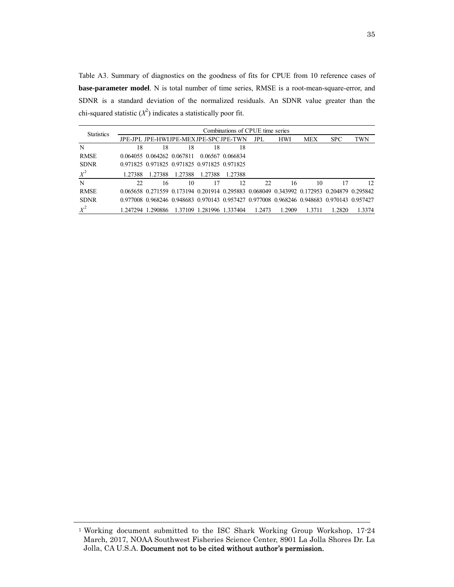Table A3. Summary of diagnostics on the goodness of fits for CPUE from 10 reference cases of **base-parameter model**. N is total number of time series, RMSE is a root-mean-square-error, and SDNR is a standard deviation of the normalized residuals. An SDNR value greater than the chi-squared statistic  $(X^2)$  indicates a statistically poor fit.

| <b>Statistics</b> |         |                            |         |                                              | Combinations of CPUE time series |        |            |            |                                                                                           |              |
|-------------------|---------|----------------------------|---------|----------------------------------------------|----------------------------------|--------|------------|------------|-------------------------------------------------------------------------------------------|--------------|
|                   |         |                            |         | JPE-JPL JPE-HWLJPE-MEXJPE-SPC JPE-TWN        |                                  | JPL.   | <b>HWI</b> | <b>MEX</b> | <b>SPC</b>                                                                                | <b>TWN</b>   |
| N                 | 18      | 18                         | 18      | 18                                           | 18                               |        |            |            |                                                                                           |              |
| <b>RMSE</b>       |         | 0.064055 0.064262 0.067811 |         |                                              | 0.06567 0.066834                 |        |            |            |                                                                                           |              |
| <b>SDNR</b>       |         |                            |         | 0.971825 0.971825 0.971825 0.971825 0.971825 |                                  |        |            |            |                                                                                           |              |
| $X^2$             | 1 27388 | 1.27388                    | 1.27388 | 1.27388                                      | 1 27388                          |        |            |            |                                                                                           |              |
| N                 | 22.     | 16                         | 10      | 17                                           | 12                               | 22.    | 16         | 10         |                                                                                           | $12^{\circ}$ |
| <b>RMSE</b>       |         |                            |         |                                              |                                  |        |            |            | 0.065658 0.271559 0.173194 0.201914 0.295883 0.068049 0.343992 0.172953 0.204879 0.295842 |              |
| <b>SDNR</b>       |         |                            |         |                                              |                                  |        |            |            | 0.977008 0.968246 0.948683 0.970143 0.957427 0.977008 0.968246 0.948683 0.970143 0.957427 |              |
| $X^2$             |         | 1.247294 1.290886          |         | 1.37109 1.281996 1.337404                    |                                  | 1.2473 | 1.2909     | 1.3711     | 1.2820                                                                                    | 1.3374       |

<sup>1</sup> Working document submitted to the ISC Shark Working Group Workshop, 17-24 March, 2017, NOAA Southwest Fisheries Science Center, 8901 La Jolla Shores Dr. La Jolla, CA U.S.A. Document not to be cited without author's permission.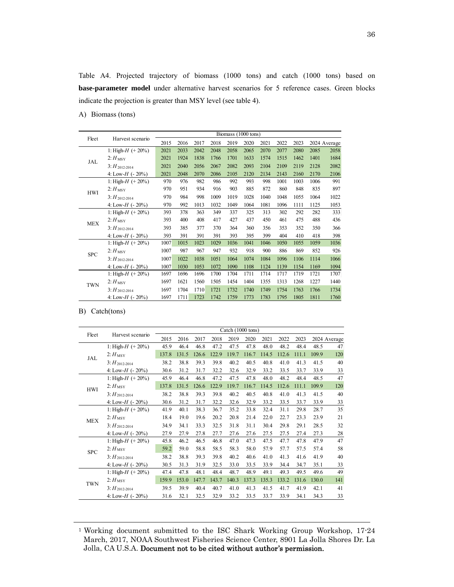Table A4. Projected trajectory of biomass (1000 tons) and catch (1000 tons) based on **base-parameter model** under alternative harvest scenarios for 5 reference cases. Green blocks indicate the projection is greater than MSY level (see table 4).

A) Biomass (tons)

| Fleet      | Harvest scenario      | Biomass (1000 tons) |      |      |      |      |      |      |      |      |      |              |
|------------|-----------------------|---------------------|------|------|------|------|------|------|------|------|------|--------------|
|            |                       | 2015                | 2016 | 2017 | 2018 | 2019 | 2020 | 2021 | 2022 | 2023 |      | 2024 Average |
| JAL        | 1: High- $H$ (+20%)   | 2021                | 2033 | 2042 | 2048 | 2058 | 2065 | 2070 | 2077 | 2080 | 2085 | 2058         |
|            | $2:$ $H_{\rm MSY}$    | 2021                | 1924 | 1838 | 1766 | 1701 | 1633 | 1574 | 1515 | 1462 | 1401 | 1684         |
|            | $3: H_{2012-2014}$    | 2021                | 2040 | 2056 | 2067 | 2082 | 2093 | 2104 | 2109 | 2119 | 2128 | 2082         |
|            | 4: Low-H $(-20\%)$    | 2021                | 2048 | 2070 | 2086 | 2105 | 2120 | 2134 | 2143 | 2160 | 2170 | 2106         |
| <b>HWI</b> | 1: High- $H$ (+20%)   | 970                 | 976  | 982  | 986  | 992  | 993  | 998  | 1001 | 1003 | 1006 | 991          |
|            | $2:$ $H_{\rm MSY}$    | 970                 | 951  | 934  | 916  | 903  | 885  | 872  | 860  | 848  | 835  | 897          |
|            | $3: H_{2012-2014}$    | 970                 | 984  | 998  | 1009 | 1019 | 1028 | 1040 | 1048 | 1055 | 1064 | 1022         |
|            | 4: Low-H $(-20\%)$    | 970                 | 992  | 1013 | 1032 | 1049 | 1064 | 1081 | 1096 | 1111 | 1125 | 1053         |
| <b>MEX</b> | 1: High- $H$ (+20%)   | 393                 | 378  | 363  | 349  | 337  | 325  | 313  | 302  | 292  | 282  | 333          |
|            | $2:$ $H_{\rm MSY}$    | 393                 | 400  | 408  | 417  | 427  | 437  | 450  | 461  | 475  | 488  | 436          |
|            | $3: H_{2012-2014}$    | 393                 | 385  | 377  | 370  | 364  | 360  | 356  | 353  | 352  | 350  | 366          |
|            | 4: Low-H $(-20\%)$    | 393                 | 391  | 391  | 391  | 393  | 395  | 399  | 404  | 410  | 418  | 398          |
| <b>SPC</b> | 1: High- $H$ (+ 20%)  | 1007                | 1015 | 1023 | 1029 | 1036 | 1041 | 1046 | 1050 | 1055 | 1059 | 1036         |
|            | $2:$ $H_{\text{MSY}}$ | 1007                | 987  | 967  | 947  | 932  | 918  | 900  | 886  | 869  | 852  | 926          |
|            | $3: H_{2012-2014}$    | 1007                | 1022 | 1038 | 1051 | 1064 | 1074 | 1084 | 1096 | 1106 | 1114 | 1066         |
|            | 4: Low-H $(-20\%)$    | 1007                | 1030 | 1053 | 1072 | 1090 | 1108 | 1124 | 1139 | 1154 | 1169 | 1094         |
| <b>TWN</b> | 1: High- $H$ (+20%)   | 1697                | 1696 | 1696 | 1700 | 1704 | 1711 | 1714 | 1717 | 1719 | 1721 | 1707         |
|            | $2:$ $H_{\rm MSY}$    | 1697                | 1621 | 1560 | 1505 | 1454 | 1404 | 1355 | 1313 | 1268 | 1227 | 1440         |
|            | $3: H_{2012-2014}$    | 1697                | 1704 | 1710 | 1721 | 1732 | 1740 | 1749 | 1754 | 1763 | 1766 | 1734         |
|            | 4: Low-H $(-20\%)$    | 1697                | 1711 | 1723 | 1742 | 1759 | 1773 | 1783 | 1795 | 1805 | 1811 | 1760         |

## B) Catch(tons)

| Fleet      | Harvest scenario      | Catch (1000 tons) |       |       |       |       |       |       |       |       |       |              |
|------------|-----------------------|-------------------|-------|-------|-------|-------|-------|-------|-------|-------|-------|--------------|
|            |                       | 2015              | 2016  | 2017  | 2018  | 2019  | 2020  | 2021  | 2022  | 2023  |       | 2024 Average |
| JAL        | 1: High- $H$ (+20%)   | 45.9              | 46.4  | 46.8  | 47.2  | 47.5  | 47.8  | 48.0  | 48.2  | 48.4  | 48.5  | 47           |
|            | $2:$ $H_{\text{MSY}}$ | 137.8             | 131.5 | 126.6 | 122.9 | 119.7 | 116.7 | 114.5 | 112.6 | 111.1 | 109.9 | 120          |
|            | $3: H_{2012-2014}$    | 38.2              | 38.8  | 39.3  | 39.8  | 40.2  | 40.5  | 40.8  | 41.0  | 41.3  | 41.5  | 40           |
|            | 4: Low-H $(-20\%)$    | 30.6              | 31.2  | 31.7  | 32.2  | 32.6  | 32.9  | 33.2  | 33.5  | 33.7  | 33.9  | 33           |
| <b>HWI</b> | 1: High- $H$ (+ 20%)  | 45.9              | 46.4  | 46.8  | 47.2  | 47.5  | 47.8  | 48.0  | 48.2  | 48.4  | 48.5  | 47           |
|            | $2:$ $H_{\rm MSY}$    | 137.8             | 131.5 | 126.6 | 122.9 | 119.7 | 116.7 | 114.5 | 112.6 | 111.1 | 109.9 | 120          |
|            | $3: H_{2012-2014}$    | 38.2              | 38.8  | 39.3  | 39.8  | 40.2  | 40.5  | 40.8  | 41.0  | 41.3  | 41.5  | 40           |
|            | 4: Low- $H$ (- 20%)   | 30.6              | 31.2  | 31.7  | 32.2  | 32.6  | 32.9  | 33.2  | 33.5  | 33.7  | 33.9  | 33           |
| <b>MEX</b> | 1: High- $H$ (+20%)   | 41.9              | 40.1  | 38.3  | 36.7  | 35.2  | 33.8  | 32.4  | 31.1  | 29.8  | 28.7  | 35           |
|            | $2:$ $H_{\rm MSY}$    | 18.4              | 19.0  | 19.6  | 20.2  | 20.8  | 21.4  | 22.0  | 22.7  | 23.3  | 23.9  | 21           |
|            | $3: H_{2012-2014}$    | 34.9              | 34.1  | 33.3  | 32.5  | 31.8  | 31.1  | 30.4  | 29.8  | 29.1  | 28.5  | 32           |
|            | 4: Low-H $(-20\%)$    | 27.9              | 27.9  | 27.8  | 27.7  | 27.6  | 27.6  | 27.5  | 27.5  | 27.4  | 27.3  | 28           |
| <b>SPC</b> | 1: High- $H$ (+ 20%)  | 45.8              | 46.2  | 46.5  | 46.8  | 47.0  | 47.3  | 47.5  | 47.7  | 47.8  | 47.9  | 47           |
|            | $2:$ $H_{\rm MSY}$    | 59.2              | 59.0  | 58.8  | 58.5  | 58.3  | 58.0  | 57.9  | 57.7  | 57.5  | 57.4  | 58           |
|            | $3: H_{2012-2014}$    | 38.2              | 38.8  | 39.3  | 39.8  | 40.2  | 40.6  | 41.0  | 41.3  | 41.6  | 41.9  | 40           |
|            | 4: Low- $H$ (- 20%)   | 30.5              | 31.3  | 31.9  | 32.5  | 33.0  | 33.5  | 33.9  | 34.4  | 34.7  | 35.1  | 33           |
| <b>TWN</b> | 1: High- $H$ (+20%)   | 47.4              | 47.8  | 48.1  | 48.4  | 48.7  | 48.9  | 49.1  | 49.3  | 49.5  | 49.6  | 49           |
|            | $2:$ $H_{\rm MSY}$    | 159.9             | 153.0 | 147.7 | 143.7 | 140.3 | 137.3 | 135.3 | 133.2 | 131.6 | 130.0 | 141          |
|            | $3: H_{2012-2014}$    | 39.5              | 39.9  | 40.4  | 40.7  | 41.0  | 41.3  | 41.5  | 41.7  | 41.9  | 42.1  | 41           |
|            | 4: Low-H $(-20\%)$    | 31.6              | 32.1  | 32.5  | 32.9  | 33.2  | 33.5  | 33.7  | 33.9  | 34.1  | 34.3  | 33           |

<sup>1</sup> Working document submitted to the ISC Shark Working Group Workshop, 17-24 March, 2017, NOAA Southwest Fisheries Science Center, 8901 La Jolla Shores Dr. La Jolla, CA U.S.A. Document not to be cited without author's permission.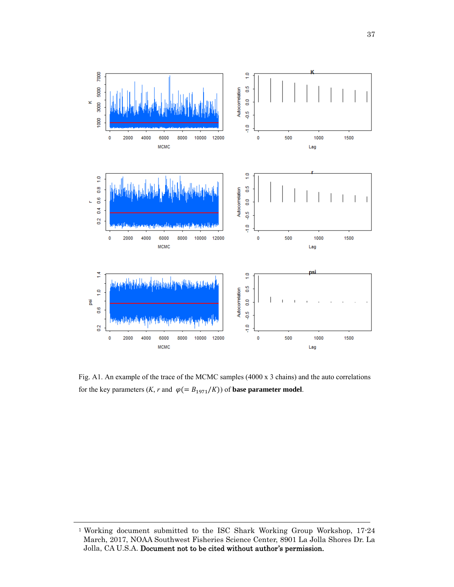

Fig. A1. An example of the trace of the MCMC samples (4000 x 3 chains) and the auto correlations for the key parameters  $(K, r \text{ and } \varphi (= B_{1971}/K))$  of **base parameter model**.

<sup>1</sup> Working document submitted to the ISC Shark Working Group Workshop, 17-24 March, 2017, NOAA Southwest Fisheries Science Center, 8901 La Jolla Shores Dr. La Jolla, CA U.S.A. Document not to be cited without author's permission.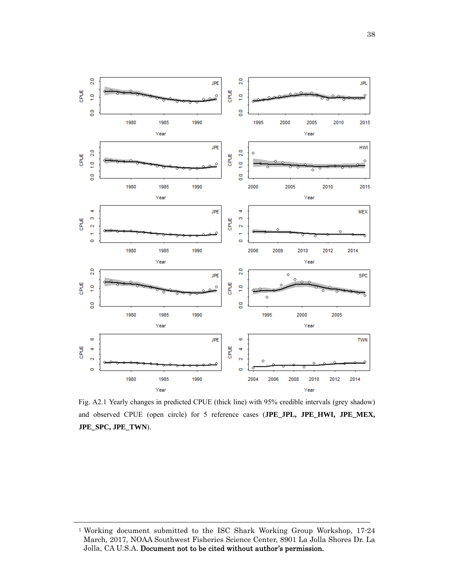

Fig. A2.1 Yearly changes in predicted CPUE (thick line) with 95% credible intervals (grey shadow) and observed CPUE (open circle) for 5 reference cases (**JPE\_JPL, JPE\_HWI, JPE\_MEX, JPE\_SPC, JPE\_TWN**).

<sup>&</sup>lt;sup>1</sup> Working document submitted to the ISC Shark Working Group Workshop, 17-24 March, 2017, NOAA Southwest Fisheries Science Center, 8901 La Jolla Shores Dr. La Jolla, CA U.S.A. Document not to be cited without author's permission.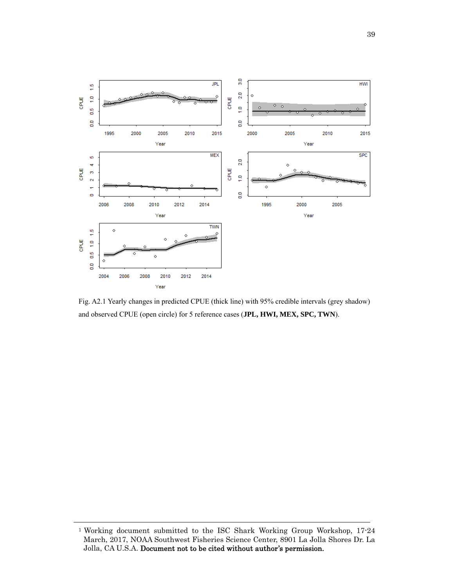

Fig. A2.1 Yearly changes in predicted CPUE (thick line) with 95% credible intervals (grey shadow) and observed CPUE (open circle) for 5 reference cases (**JPL, HWI, MEX, SPC, TWN**).

<sup>&</sup>lt;sup>1</sup> Working document submitted to the ISC Shark Working Group Workshop, 17-24 March, 2017, NOAA Southwest Fisheries Science Center, 8901 La Jolla Shores Dr. La Jolla, CA U.S.A. Document not to be cited without author's permission.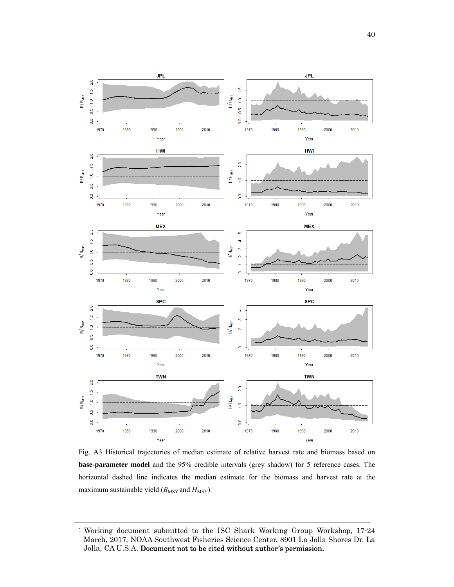

Fig. A3 Historical trajectories of median estimate of relative harvest rate and biomass based on **base-parameter model** and the 95% credible intervals (grey shadow) for 5 reference cases. The horizontal dashed line indicates the median estimate for the biomass and harvest rate at the maximum sustainable yield  $(B_{\text{MSY}}$  and  $H_{\text{MSY}}$ ).

<sup>1</sup> Working document submitted to the ISC Shark Working Group Workshop, 17-24 March, 2017, NOAA Southwest Fisheries Science Center, 8901 La Jolla Shores Dr. La Jolla, CA U.S.A. Document not to be cited without author's permission.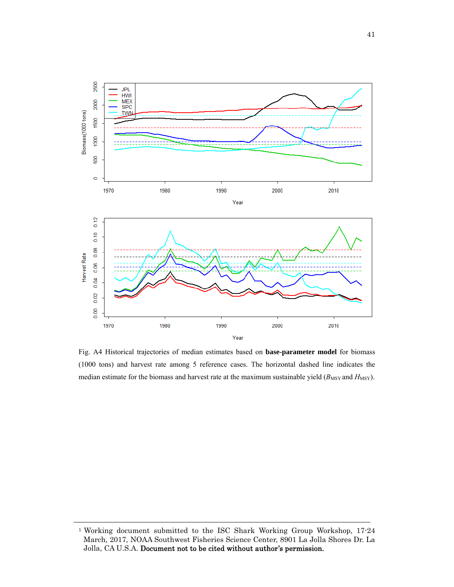

Fig. A4 Historical trajectories of median estimates based on **base-parameter model** for biomass (1000 tons) and harvest rate among 5 reference cases. The horizontal dashed line indicates the median estimate for the biomass and harvest rate at the maximum sustainable yield ( $B_{\text{MSY}}$  and  $H_{\text{MSY}}$ ).

<sup>1</sup> Working document submitted to the ISC Shark Working Group Workshop, 17-24 March, 2017, NOAA Southwest Fisheries Science Center, 8901 La Jolla Shores Dr. La Jolla, CA U.S.A. Document not to be cited without author's permission.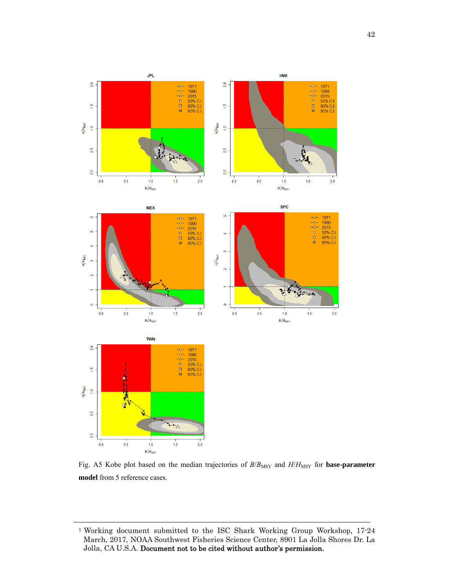

Fig. A5 Kobe plot based on the median trajectories of  $B/B_{\rm MSY}$  and  $H/H_{\rm MSY}$  for **base-parameter model** from 5 reference cases.

<sup>1</sup> Working document submitted to the ISC Shark Working Group Workshop, 17-24 March, 2017, NOAA Southwest Fisheries Science Center, 8901 La Jolla Shores Dr. La Jolla, CA U.S.A. Document not to be cited without author's permission.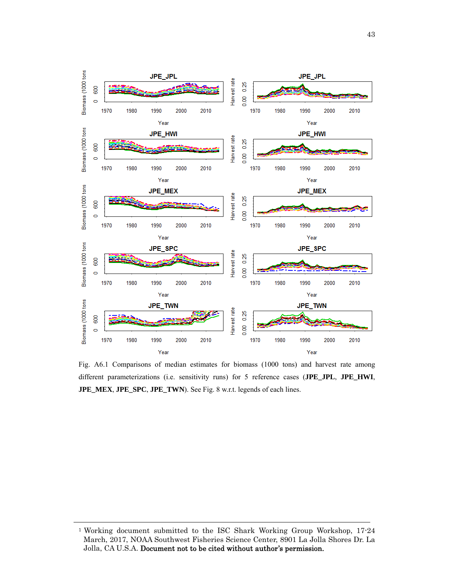

Fig. A6.1 Comparisons of median estimates for biomass (1000 tons) and harvest rate among different parameterizations (i.e. sensitivity runs) for 5 reference cases (**JPE\_JPL**, **JPE\_HWI**, **JPE\_MEX**, **JPE\_SPC**, **JPE\_TWN**). See Fig. 8 w.r.t. legends of each lines.

<sup>1</sup> Working document submitted to the ISC Shark Working Group Workshop, 17-24 March, 2017, NOAA Southwest Fisheries Science Center, 8901 La Jolla Shores Dr. La Jolla, CA U.S.A. Document not to be cited without author's permission.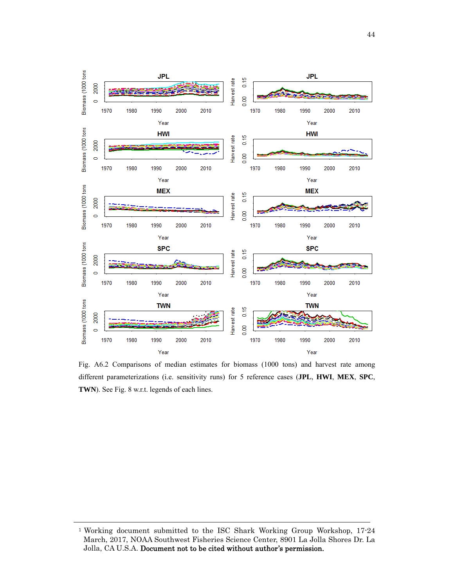

Fig. A6.2 Comparisons of median estimates for biomass (1000 tons) and harvest rate among different parameterizations (i.e. sensitivity runs) for 5 reference cases (**JPL**, **HWI**, **MEX**, **SPC**, **TWN**). See Fig. 8 w.r.t. legends of each lines.

<sup>1</sup> Working document submitted to the ISC Shark Working Group Workshop, 17-24 March, 2017, NOAA Southwest Fisheries Science Center, 8901 La Jolla Shores Dr. La Jolla, CA U.S.A. Document not to be cited without author's permission.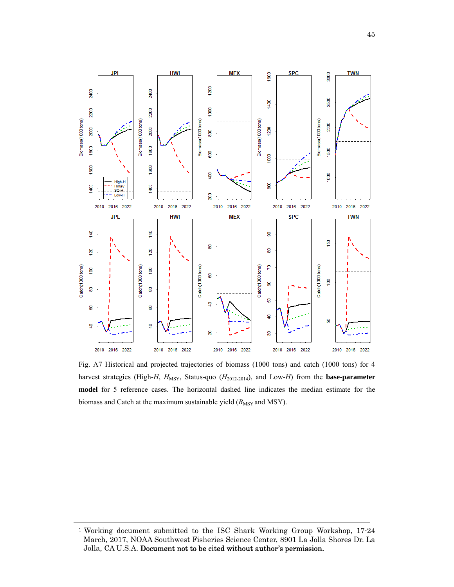

Fig. A7 Historical and projected trajectories of biomass (1000 tons) and catch (1000 tons) for 4 harvest strategies (High-*H*,  $H_{\text{MSY}}$ , Status-quo ( $H_{2012-2014}$ ), and Low-*H*) from the **base-parameter model** for 5 reference cases. The horizontal dashed line indicates the median estimate for the biomass and Catch at the maximum sustainable yield  $(B_{\text{MSY}})$  and MSY).

<sup>1</sup> Working document submitted to the ISC Shark Working Group Workshop, 17-24 March, 2017, NOAA Southwest Fisheries Science Center, 8901 La Jolla Shores Dr. La Jolla, CA U.S.A. Document not to be cited without author's permission.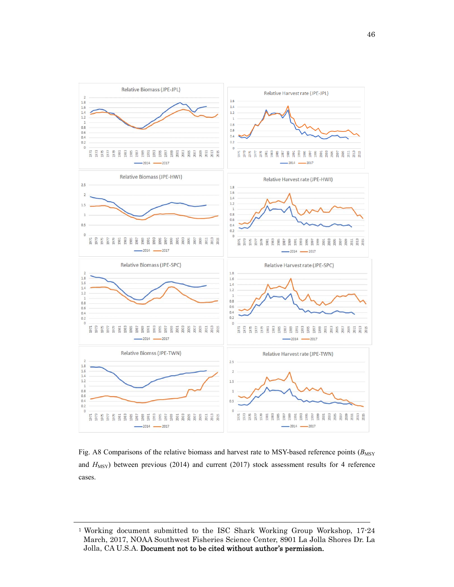

Fig. A8 Comparisons of the relative biomass and harvest rate to MSY-based reference points ( $B_{\text{MSY}}$ and  $H_{\text{MSY}}$ ) between previous (2014) and current (2017) stock assessment results for 4 reference cases.

<sup>1</sup> Working document submitted to the ISC Shark Working Group Workshop, 17-24 March, 2017, NOAA Southwest Fisheries Science Center, 8901 La Jolla Shores Dr. La Jolla, CA U.S.A. Document not to be cited without author's permission.